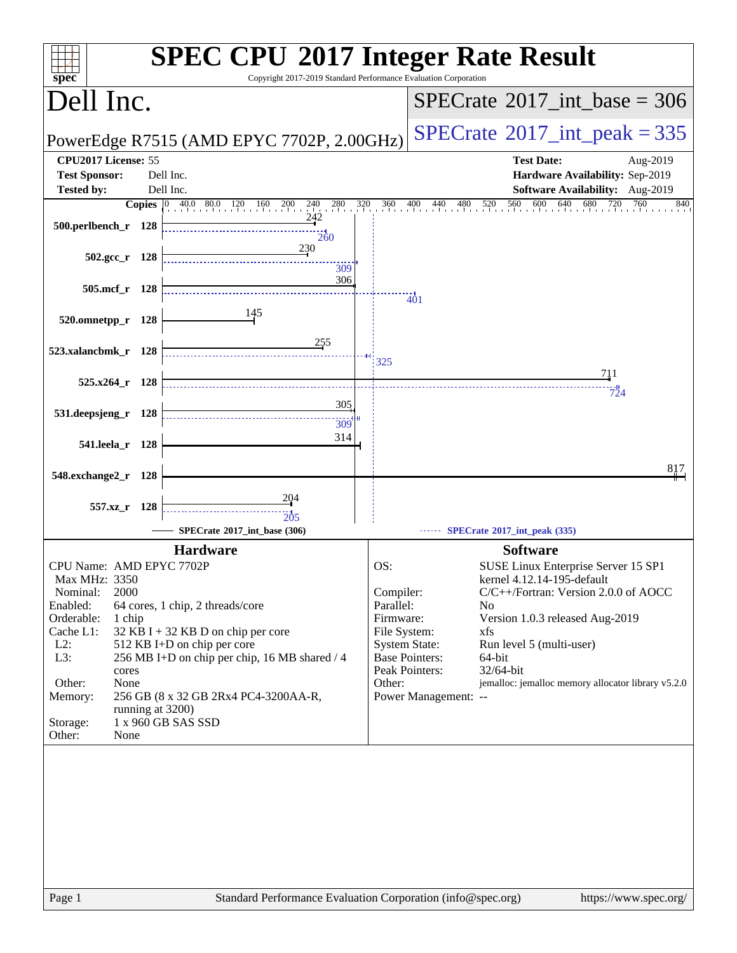| $spec^*$                 |                        |       | <b>SPEC CPU®2017 Integer Rate Result</b><br>Copyright 2017-2019 Standard Performance Evaluation Corporation                     |                        |                                         |                                                              |
|--------------------------|------------------------|-------|---------------------------------------------------------------------------------------------------------------------------------|------------------------|-----------------------------------------|--------------------------------------------------------------|
| Dell Inc.                |                        |       |                                                                                                                                 |                        |                                         | $SPECrate^{\circ}2017\_int\_base = 306$                      |
|                          |                        |       | PowerEdge R7515 (AMD EPYC 7702P, 2.00GHz)                                                                                       |                        |                                         | $SPECrate^{\circ}2017\_int\_peak = 335$                      |
| CPU2017 License: 55      |                        |       |                                                                                                                                 |                        |                                         | <b>Test Date:</b><br>Aug-2019                                |
| <b>Test Sponsor:</b>     |                        |       | Dell Inc.                                                                                                                       |                        |                                         | Hardware Availability: Sep-2019                              |
| <b>Tested by:</b>        |                        |       | Dell Inc.                                                                                                                       |                        |                                         | Software Availability: Aug-2019<br>680<br>640<br>760<br>840  |
|                          |                        |       | <b>Copies</b> $\begin{bmatrix} 0 & 40.0 & 80.0 & 120 & 160 \end{bmatrix}$<br>$^{200}$ $^{240}$<br>280<br>$\frac{320}{1}$<br>242 |                        |                                         | $360$ $400$ $440$ $480$ $520$ $560$ $600$<br>$\frac{720}{1}$ |
| 500.perlbench_r 128      |                        |       | 260                                                                                                                             |                        |                                         |                                                              |
|                          | $502.\text{gcc}_r$ 128 |       | 230                                                                                                                             |                        |                                         |                                                              |
|                          |                        |       | 309                                                                                                                             |                        |                                         |                                                              |
|                          | 505.mcf_r 128          |       | 306                                                                                                                             |                        |                                         |                                                              |
|                          |                        |       |                                                                                                                                 |                        | $\ddot{40}$ 1                           |                                                              |
| 520.omnetpp_r 128        |                        |       | 145                                                                                                                             |                        |                                         |                                                              |
|                          |                        |       | 255                                                                                                                             |                        |                                         |                                                              |
| 523.xalancbmk_r 128      |                        |       |                                                                                                                                 | 325                    |                                         |                                                              |
|                          |                        |       |                                                                                                                                 |                        |                                         | 711                                                          |
| $525.x264$ r 128         |                        |       |                                                                                                                                 |                        |                                         | 724                                                          |
| 531.deepsjeng_r 128      |                        |       | 305                                                                                                                             |                        |                                         |                                                              |
|                          |                        |       | 309                                                                                                                             |                        |                                         |                                                              |
|                          | 541.leela_r 128        |       | 314                                                                                                                             |                        |                                         |                                                              |
|                          |                        |       |                                                                                                                                 |                        |                                         | 817                                                          |
| 548.exchange2_r          |                        | - 128 |                                                                                                                                 |                        |                                         |                                                              |
|                          |                        |       | 204                                                                                                                             |                        |                                         |                                                              |
|                          | 557.xz r 128           |       | 205                                                                                                                             |                        |                                         |                                                              |
|                          |                        |       | SPECrate®2017 int base (306)                                                                                                    |                        |                                         | SPECrate*2017_int_peak (335)                                 |
|                          |                        |       | <b>Hardware</b>                                                                                                                 |                        |                                         | <b>Software</b>                                              |
| CPU Name: AMD EPYC 7702P |                        |       |                                                                                                                                 | OS:                    |                                         | SUSE Linux Enterprise Server 15 SP1                          |
| Max MHz: 3350            |                        |       |                                                                                                                                 |                        |                                         | kernel 4.12.14-195-default                                   |
| Nominal:<br>Enabled:     | 2000                   |       | 64 cores, 1 chip, 2 threads/core                                                                                                | Compiler:<br>Parallel: |                                         | C/C++/Fortran: Version 2.0.0 of AOCC<br>N <sub>0</sub>       |
| Orderable:               | 1 chip                 |       |                                                                                                                                 | Firmware:              |                                         | Version 1.0.3 released Aug-2019                              |
| Cache L1:                |                        |       | $32$ KB I + 32 KB D on chip per core                                                                                            | File System:           |                                         | xfs                                                          |
| $L2$ :                   |                        |       | 512 KB I+D on chip per core                                                                                                     |                        | <b>System State:</b>                    | Run level 5 (multi-user)                                     |
| L3:                      | cores                  |       | 256 MB I+D on chip per chip, 16 MB shared / 4                                                                                   |                        | <b>Base Pointers:</b><br>Peak Pointers: | 64-bit<br>32/64-bit                                          |
| Other:                   | None                   |       |                                                                                                                                 | Other:                 |                                         | jemalloc: jemalloc memory allocator library v5.2.0           |
| Memory:                  |                        |       | 256 GB (8 x 32 GB 2Rx4 PC4-3200AA-R,                                                                                            |                        | Power Management: --                    |                                                              |
| Storage:                 | running at 3200)       |       | 1 x 960 GB SAS SSD                                                                                                              |                        |                                         |                                                              |
| Other:                   | None                   |       |                                                                                                                                 |                        |                                         |                                                              |
|                          |                        |       |                                                                                                                                 |                        |                                         |                                                              |
|                          |                        |       |                                                                                                                                 |                        |                                         |                                                              |
|                          |                        |       |                                                                                                                                 |                        |                                         |                                                              |
|                          |                        |       |                                                                                                                                 |                        |                                         |                                                              |
|                          |                        |       |                                                                                                                                 |                        |                                         |                                                              |
|                          |                        |       |                                                                                                                                 |                        |                                         |                                                              |
|                          |                        |       |                                                                                                                                 |                        |                                         |                                                              |
|                          |                        |       |                                                                                                                                 |                        |                                         |                                                              |
|                          |                        |       |                                                                                                                                 |                        |                                         |                                                              |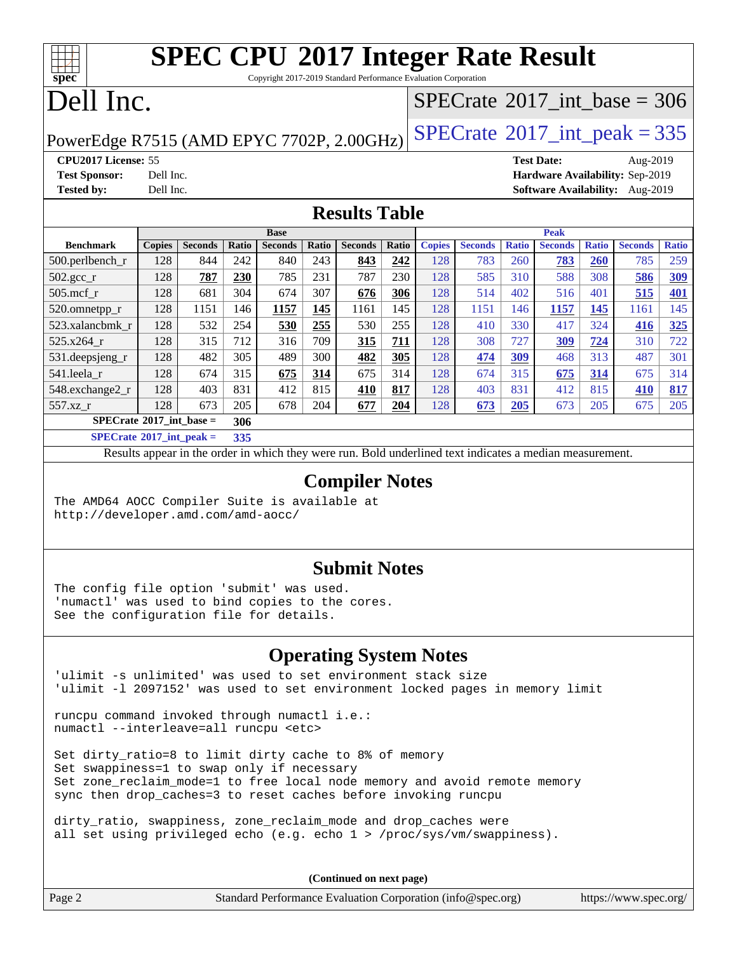Copyright 2017-2019 Standard Performance Evaluation Corporation

## Dell Inc.

**[spec](http://www.spec.org/)**

## $SPECrate$ <sup>®</sup>[2017\\_int\\_base =](http://www.spec.org/auto/cpu2017/Docs/result-fields.html#SPECrate2017intbase) 306

PowerEdge R7515 (AMD EPYC 7702P, 2.00GHz)  $\left|$  [SPECrate](http://www.spec.org/auto/cpu2017/Docs/result-fields.html#SPECrate2017intpeak)®[2017\\_int\\_peak = 3](http://www.spec.org/auto/cpu2017/Docs/result-fields.html#SPECrate2017intpeak)35

**[CPU2017 License:](http://www.spec.org/auto/cpu2017/Docs/result-fields.html#CPU2017License)** 55 **[Test Date:](http://www.spec.org/auto/cpu2017/Docs/result-fields.html#TestDate)** Aug-2019 **[Test Sponsor:](http://www.spec.org/auto/cpu2017/Docs/result-fields.html#TestSponsor)** Dell Inc. **[Hardware Availability:](http://www.spec.org/auto/cpu2017/Docs/result-fields.html#HardwareAvailability)** Sep-2019 **[Tested by:](http://www.spec.org/auto/cpu2017/Docs/result-fields.html#Testedby)** Dell Inc. **[Software Availability:](http://www.spec.org/auto/cpu2017/Docs/result-fields.html#SoftwareAvailability)** Aug-2019

#### **[Results Table](http://www.spec.org/auto/cpu2017/Docs/result-fields.html#ResultsTable)**

|                                   |               |                |       | <b>Base</b>    |       |                |       |               |                |              | <b>Peak</b>    |              |                |              |
|-----------------------------------|---------------|----------------|-------|----------------|-------|----------------|-------|---------------|----------------|--------------|----------------|--------------|----------------|--------------|
| <b>Benchmark</b>                  | <b>Copies</b> | <b>Seconds</b> | Ratio | <b>Seconds</b> | Ratio | <b>Seconds</b> | Ratio | <b>Copies</b> | <b>Seconds</b> | <b>Ratio</b> | <b>Seconds</b> | <b>Ratio</b> | <b>Seconds</b> | <b>Ratio</b> |
| $500$ .perlbench r                | 128           | 844            | 242   | 840            | 243   | 843            | 242   | 128           | 783            | 260          | 783            | 260          | 785            | 259          |
| $502.\text{gcc}$ _r               | 128           | 787            | 230   | 785            | 231   | 787            | 230   | 128           | 585            | 310          | 588            | 308          | 586            | 309          |
| $505$ .mcf r                      | 128           | 681            | 304   | 674            | 307   | 676            | 306   | 128           | 514            | 402          | 516            | 401          | 515            | <b>401</b>   |
| 520.omnetpp_r                     | 128           | 1151           | 146   | 1157           | 145   | 1161           | 145   | 128           | 1151           | 146          | 1157           | 145          | 1161           | 145          |
| 523.xalancbmk_r                   | 128           | 532            | 254   | 530            | 255   | 530            | 255   | 128           | 410            | 330          | 417            | 324          | 416            | 325          |
| $525.x264$ r                      | 128           | 315            | 712   | 316            | 709   | 315            | 711   | 128           | 308            | 727          | 309            | 724          | 310            | 722          |
| 531.deepsjeng_r                   | 128           | 482            | 305   | 489            | 300   | 482            | 305   | 128           | 474            | 309          | 468            | 313          | 487            | 301          |
| 541.leela r                       | 128           | 674            | 315   | 675            | 314   | 675            | 314   | 128           | 674            | 315          | 675            | 314          | 675            | 314          |
| 548.exchange2_r                   | 128           | 403            | 831   | 412            | 815   | 410            | 817   | 128           | 403            | 831          | 412            | 815          | 410            | 817          |
| 557.xz r                          | 128           | 673            | 205   | 678            | 204   | 677            | 204   | 128           | 673            | 205          | 673            | 205          | 675            | 205          |
| $SPECrate^{\circ}2017$ int base = |               |                | 306   |                |       |                |       |               |                |              |                |              |                |              |
| _____                             |               |                |       |                |       |                |       |               |                |              |                |              |                |              |

**[SPECrate](http://www.spec.org/auto/cpu2017/Docs/result-fields.html#SPECrate2017intpeak)[2017\\_int\\_peak =](http://www.spec.org/auto/cpu2017/Docs/result-fields.html#SPECrate2017intpeak) 335**

Results appear in the [order in which they were run](http://www.spec.org/auto/cpu2017/Docs/result-fields.html#RunOrder). Bold underlined text [indicates a median measurement](http://www.spec.org/auto/cpu2017/Docs/result-fields.html#Median).

#### **[Compiler Notes](http://www.spec.org/auto/cpu2017/Docs/result-fields.html#CompilerNotes)**

The AMD64 AOCC Compiler Suite is available at <http://developer.amd.com/amd-aocc/>

#### **[Submit Notes](http://www.spec.org/auto/cpu2017/Docs/result-fields.html#SubmitNotes)**

The config file option 'submit' was used. 'numactl' was used to bind copies to the cores. See the configuration file for details.

### **[Operating System Notes](http://www.spec.org/auto/cpu2017/Docs/result-fields.html#OperatingSystemNotes)**

'ulimit -s unlimited' was used to set environment stack size 'ulimit -l 2097152' was used to set environment locked pages in memory limit

runcpu command invoked through numactl i.e.: numactl --interleave=all runcpu <etc>

Set dirty\_ratio=8 to limit dirty cache to 8% of memory Set swappiness=1 to swap only if necessary Set zone\_reclaim\_mode=1 to free local node memory and avoid remote memory sync then drop\_caches=3 to reset caches before invoking runcpu

dirty\_ratio, swappiness, zone\_reclaim\_mode and drop\_caches were all set using privileged echo (e.g. echo 1 > /proc/sys/vm/swappiness).

**(Continued on next page)**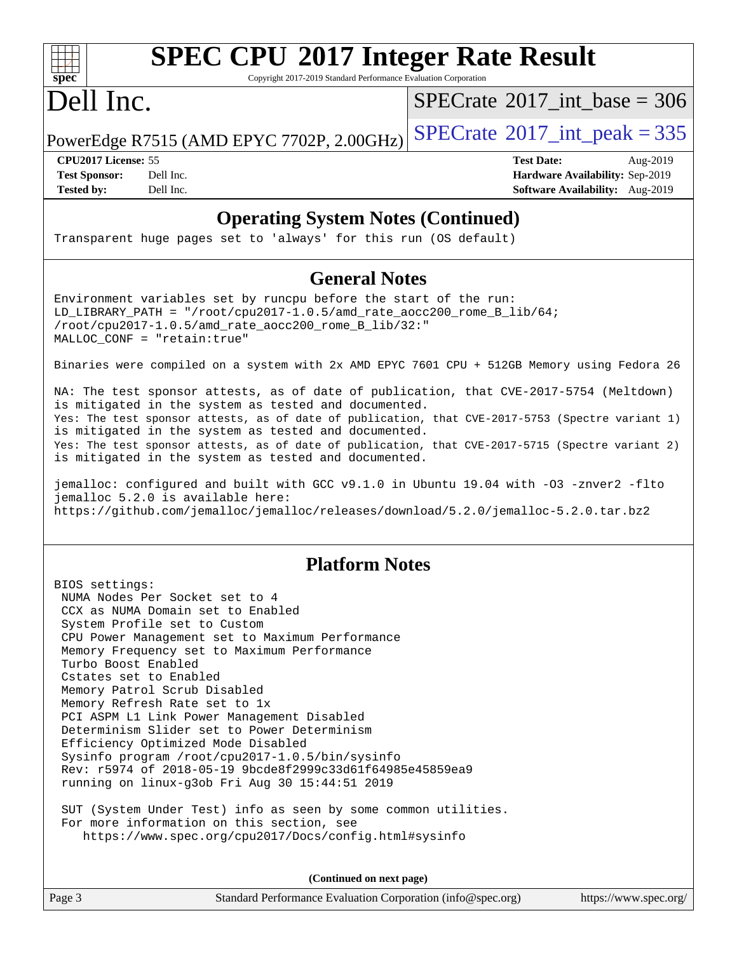# **[spec](http://www.spec.org/)**

# **[SPEC CPU](http://www.spec.org/auto/cpu2017/Docs/result-fields.html#SPECCPU2017IntegerRateResult)[2017 Integer Rate Result](http://www.spec.org/auto/cpu2017/Docs/result-fields.html#SPECCPU2017IntegerRateResult)**

Copyright 2017-2019 Standard Performance Evaluation Corporation

## Dell Inc.

 $SPECrate$ <sup>®</sup>[2017\\_int\\_base =](http://www.spec.org/auto/cpu2017/Docs/result-fields.html#SPECrate2017intbase) 306

PowerEdge R7515 (AMD EPYC 7702P, 2.00GHz)  $SPECrate^{\circ}2017\_int\_peak = 335$  $SPECrate^{\circ}2017\_int\_peak = 335$ 

**[Tested by:](http://www.spec.org/auto/cpu2017/Docs/result-fields.html#Testedby)** Dell Inc. **[Software Availability:](http://www.spec.org/auto/cpu2017/Docs/result-fields.html#SoftwareAvailability)** Aug-2019

**[CPU2017 License:](http://www.spec.org/auto/cpu2017/Docs/result-fields.html#CPU2017License)** 55 **[Test Date:](http://www.spec.org/auto/cpu2017/Docs/result-fields.html#TestDate)** Aug-2019 **[Test Sponsor:](http://www.spec.org/auto/cpu2017/Docs/result-fields.html#TestSponsor)** Dell Inc. **[Hardware Availability:](http://www.spec.org/auto/cpu2017/Docs/result-fields.html#HardwareAvailability)** Sep-2019

### **[Operating System Notes \(Continued\)](http://www.spec.org/auto/cpu2017/Docs/result-fields.html#OperatingSystemNotes)**

Transparent huge pages set to 'always' for this run (OS default)

#### **[General Notes](http://www.spec.org/auto/cpu2017/Docs/result-fields.html#GeneralNotes)**

Environment variables set by runcpu before the start of the run: LD\_LIBRARY\_PATH = "/root/cpu2017-1.0.5/amd\_rate\_aocc200\_rome\_B\_lib/64;  $/root/cpu2017-1.0.5/amd rate acc200$  rome B lib/32:" MALLOC\_CONF = "retain:true"

Binaries were compiled on a system with 2x AMD EPYC 7601 CPU + 512GB Memory using Fedora 26

NA: The test sponsor attests, as of date of publication, that CVE-2017-5754 (Meltdown) is mitigated in the system as tested and documented. Yes: The test sponsor attests, as of date of publication, that CVE-2017-5753 (Spectre variant 1) is mitigated in the system as tested and documented. Yes: The test sponsor attests, as of date of publication, that CVE-2017-5715 (Spectre variant 2) is mitigated in the system as tested and documented.

jemalloc: configured and built with GCC v9.1.0 in Ubuntu 19.04 with -O3 -znver2 -flto jemalloc 5.2.0 is available here: <https://github.com/jemalloc/jemalloc/releases/download/5.2.0/jemalloc-5.2.0.tar.bz2>

### **[Platform Notes](http://www.spec.org/auto/cpu2017/Docs/result-fields.html#PlatformNotes)**

BIOS settings: NUMA Nodes Per Socket set to 4 CCX as NUMA Domain set to Enabled System Profile set to Custom CPU Power Management set to Maximum Performance Memory Frequency set to Maximum Performance Turbo Boost Enabled Cstates set to Enabled Memory Patrol Scrub Disabled Memory Refresh Rate set to 1x PCI ASPM L1 Link Power Management Disabled Determinism Slider set to Power Determinism Efficiency Optimized Mode Disabled Sysinfo program /root/cpu2017-1.0.5/bin/sysinfo Rev: r5974 of 2018-05-19 9bcde8f2999c33d61f64985e45859ea9 running on linux-g3ob Fri Aug 30 15:44:51 2019

 SUT (System Under Test) info as seen by some common utilities. For more information on this section, see <https://www.spec.org/cpu2017/Docs/config.html#sysinfo>

**(Continued on next page)**

Page 3 Standard Performance Evaluation Corporation [\(info@spec.org\)](mailto:info@spec.org) <https://www.spec.org/>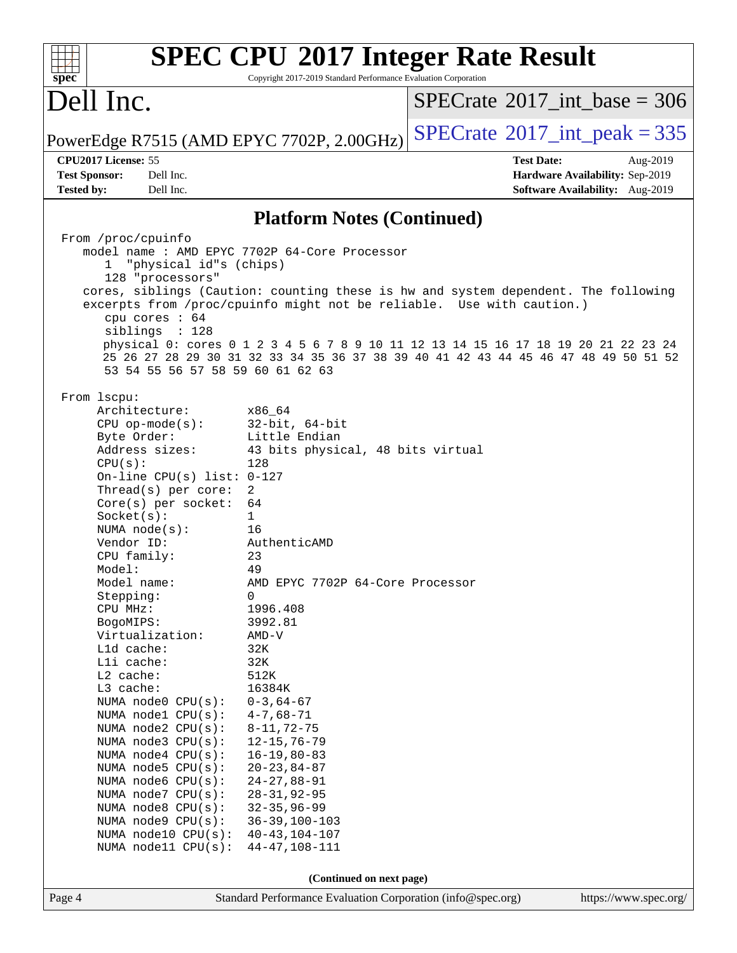|                                                            |                                                                 | <b>SPEC CPU®2017 Integer Rate Result</b>                                            |
|------------------------------------------------------------|-----------------------------------------------------------------|-------------------------------------------------------------------------------------|
| $spec^*$                                                   | Copyright 2017-2019 Standard Performance Evaluation Corporation |                                                                                     |
| Dell Inc.                                                  |                                                                 | $SPECrate^{\circ}2017\_int\_base = 306$                                             |
| PowerEdge R7515 (AMD EPYC 7702P, 2.00GHz)                  |                                                                 | $SPECTate$ <sup>®</sup> 2017_int_peak = 335                                         |
| CPU2017 License: 55                                        |                                                                 | <b>Test Date:</b><br>Aug-2019                                                       |
| <b>Test Sponsor:</b><br>Dell Inc.                          |                                                                 | Hardware Availability: Sep-2019                                                     |
| <b>Tested by:</b><br>Dell Inc.                             |                                                                 | Software Availability: Aug-2019                                                     |
|                                                            | <b>Platform Notes (Continued)</b>                               |                                                                                     |
| From /proc/cpuinfo                                         |                                                                 |                                                                                     |
|                                                            | model name: AMD EPYC 7702P 64-Core Processor                    |                                                                                     |
| "physical id"s (chips)<br>$\mathbf{1}$<br>128 "processors" |                                                                 |                                                                                     |
|                                                            |                                                                 | cores, siblings (Caution: counting these is hw and system dependent. The following  |
|                                                            |                                                                 | excerpts from /proc/cpuinfo might not be reliable. Use with caution.)               |
| cpu cores : 64                                             |                                                                 |                                                                                     |
| siblings : 128                                             |                                                                 | physical 0: cores 0 1 2 3 4 5 6 7 8 9 10 11 12 13 14 15 16 17 18 19 20 21 22 23 24  |
|                                                            |                                                                 | 25 26 27 28 29 30 31 32 33 34 35 36 37 38 39 40 41 42 43 44 45 46 47 48 49 50 51 52 |
| 53 54 55 56 57 58 59 60 61 62 63                           |                                                                 |                                                                                     |
|                                                            |                                                                 |                                                                                     |
| From 1scpu:                                                |                                                                 |                                                                                     |
| Architecture:<br>$CPU$ op-mode( $s$ ):                     | x86 64<br>$32$ -bit, $64$ -bit                                  |                                                                                     |
| Byte Order:                                                | Little Endian                                                   |                                                                                     |
| Address sizes:                                             | 43 bits physical, 48 bits virtual                               |                                                                                     |
| CPU(s):                                                    | 128                                                             |                                                                                     |
| On-line CPU(s) list: 0-127                                 |                                                                 |                                                                                     |
| Thread(s) per core:<br>$Core(s)$ per socket:               | 2<br>64                                                         |                                                                                     |
| Socket(s):                                                 | 1                                                               |                                                                                     |
| NUMA $node(s):$                                            | 16                                                              |                                                                                     |
| Vendor ID:                                                 | AuthenticAMD                                                    |                                                                                     |
| CPU family:                                                | 23                                                              |                                                                                     |
| Model:<br>Model name:                                      | 49<br>AMD EPYC 7702P 64-Core Processor                          |                                                                                     |
| Stepping:                                                  | 0                                                               |                                                                                     |
| CPU MHz:                                                   | 1996.408                                                        |                                                                                     |
| BogoMIPS:                                                  | 3992.81                                                         |                                                                                     |
| Virtualization:                                            | AMD-V                                                           |                                                                                     |
| L1d cache:<br>Lli cache:                                   | 32K<br>32K                                                      |                                                                                     |
| L2 cache:                                                  | 512K                                                            |                                                                                     |
| L3 cache:                                                  | 16384K                                                          |                                                                                     |
| NUMA node0 CPU(s):                                         | $0 - 3, 64 - 67$                                                |                                                                                     |
| NUMA nodel CPU(s):                                         | $4 - 7,68 - 71$                                                 |                                                                                     |
| NUMA node2 CPU(s):<br>NUMA node3 CPU(s):                   | $8 - 11, 72 - 75$<br>$12 - 15, 76 - 79$                         |                                                                                     |
| NUMA node4 CPU(s):                                         | $16 - 19, 80 - 83$                                              |                                                                                     |
| NUMA node5 CPU(s):                                         | $20 - 23, 84 - 87$                                              |                                                                                     |
| NUMA node6 CPU(s):                                         | $24 - 27, 88 - 91$                                              |                                                                                     |
| NUMA node7 CPU(s):                                         | $28 - 31, 92 - 95$                                              |                                                                                     |
| NUMA node8 CPU(s):<br>NUMA node9 CPU(s):                   | $32 - 35, 96 - 99$<br>$36 - 39, 100 - 103$                      |                                                                                     |
| NUMA node10 CPU(s):                                        | $40 - 43, 104 - 107$                                            |                                                                                     |
| NUMA node11 CPU(s):                                        | $44 - 47, 108 - 111$                                            |                                                                                     |
|                                                            |                                                                 |                                                                                     |
|                                                            | (Continued on next page)                                        |                                                                                     |
| Page 4                                                     | Standard Performance Evaluation Corporation (info@spec.org)     | https://www.spec.org/                                                               |
|                                                            |                                                                 |                                                                                     |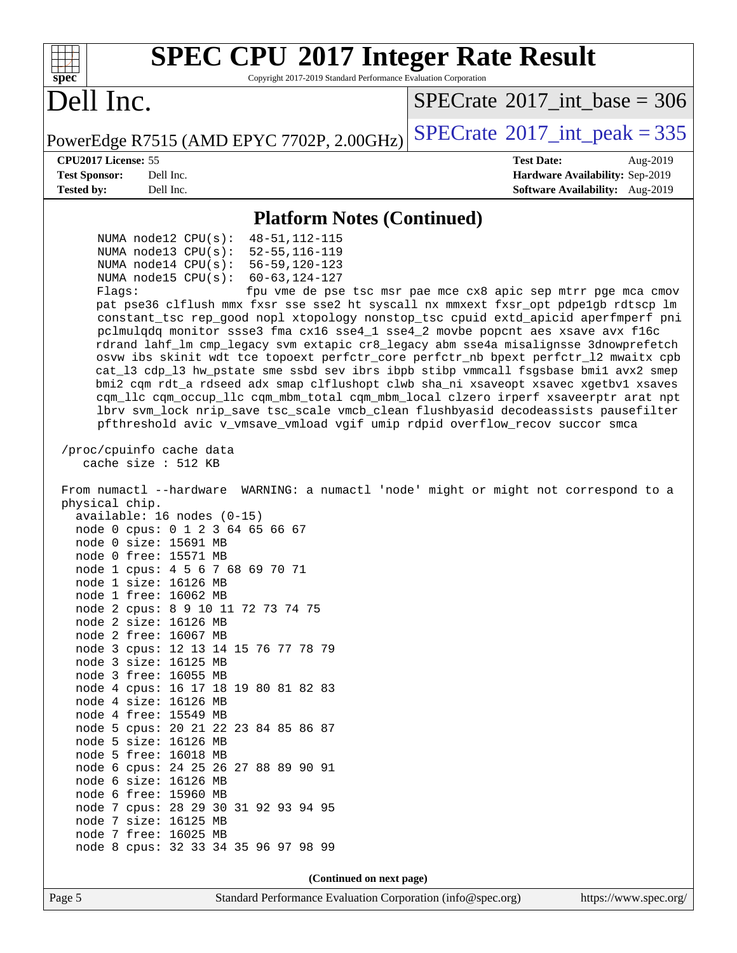| <b>SPEC CPU®2017 Integer Rate Result</b><br>Copyright 2017-2019 Standard Performance Evaluation Corporation<br>spec <sup>®</sup>                                                                                                                                                                                                                                                                                                                                                                                                                                                                                                                                                                                                                                                                                                                                                                                                                                                                                                                                                                       |                                                               |
|--------------------------------------------------------------------------------------------------------------------------------------------------------------------------------------------------------------------------------------------------------------------------------------------------------------------------------------------------------------------------------------------------------------------------------------------------------------------------------------------------------------------------------------------------------------------------------------------------------------------------------------------------------------------------------------------------------------------------------------------------------------------------------------------------------------------------------------------------------------------------------------------------------------------------------------------------------------------------------------------------------------------------------------------------------------------------------------------------------|---------------------------------------------------------------|
| Dell Inc.                                                                                                                                                                                                                                                                                                                                                                                                                                                                                                                                                                                                                                                                                                                                                                                                                                                                                                                                                                                                                                                                                              | $SPECTate$ <sup>®</sup> 2017_int_base = 306                   |
| PowerEdge R7515 (AMD EPYC 7702P, 2.00GHz)                                                                                                                                                                                                                                                                                                                                                                                                                                                                                                                                                                                                                                                                                                                                                                                                                                                                                                                                                                                                                                                              | $SPECTate@2017_int\_peak = 335$                               |
| CPU2017 License: 55                                                                                                                                                                                                                                                                                                                                                                                                                                                                                                                                                                                                                                                                                                                                                                                                                                                                                                                                                                                                                                                                                    | <b>Test Date:</b><br>Aug-2019                                 |
| Dell Inc.<br><b>Test Sponsor:</b>                                                                                                                                                                                                                                                                                                                                                                                                                                                                                                                                                                                                                                                                                                                                                                                                                                                                                                                                                                                                                                                                      | Hardware Availability: Sep-2019                               |
| <b>Tested by:</b><br>Dell Inc.                                                                                                                                                                                                                                                                                                                                                                                                                                                                                                                                                                                                                                                                                                                                                                                                                                                                                                                                                                                                                                                                         | Software Availability: Aug-2019                               |
| <b>Platform Notes (Continued)</b>                                                                                                                                                                                                                                                                                                                                                                                                                                                                                                                                                                                                                                                                                                                                                                                                                                                                                                                                                                                                                                                                      |                                                               |
| $48 - 51, 112 - 115$<br>NUMA $node12$ CPU $(s)$ :<br>$52 - 55, 116 - 119$<br>NUMA $node13$ CPU $(s):$<br>$56 - 59, 120 - 123$<br>NUMA node14 CPU(s):<br>NUMA node15 CPU(s):<br>$60 - 63, 124 - 127$<br>Flaqs:<br>pat pse36 clflush mmx fxsr sse sse2 ht syscall nx mmxext fxsr_opt pdpe1gb rdtscp lm<br>constant_tsc rep_good nopl xtopology nonstop_tsc cpuid extd_apicid aperfmperf pni<br>pclmulqdq monitor ssse3 fma cx16 sse4_1 sse4_2 movbe popcnt aes xsave avx f16c<br>rdrand lahf_lm cmp_legacy svm extapic cr8_legacy abm sse4a misalignsse 3dnowprefetch<br>osvw ibs skinit wdt tce topoext perfctr_core perfctr_nb bpext perfctr_12 mwaitx cpb<br>cat_13 cdp_13 hw_pstate sme ssbd sev ibrs ibpb stibp vmmcall fsgsbase bmil avx2 smep<br>bmi2 cqm rdt_a rdseed adx smap clflushopt clwb sha_ni xsaveopt xsavec xgetbv1 xsaves<br>cqm_llc cqm_occup_llc cqm_mbm_total cqm_mbm_local clzero irperf xsaveerptr arat npt<br>lbrv svm_lock nrip_save tsc_scale vmcb_clean flushbyasid decodeassists pausefilter<br>pfthreshold avic v_vmsave_vmload vgif umip rdpid overflow_recov succor smca | fpu vme de pse tsc msr pae mce cx8 apic sep mtrr pge mca cmov |
| /proc/cpuinfo cache data<br>cache size : 512 KB<br>From numactl --hardware<br>physical chip.<br>$available: 16 nodes (0-15)$<br>node 0 cpus: 0 1 2 3 64 65 66 67<br>node 0 size: 15691 MB<br>node 0 free: 15571 MB<br>node 1 cpus: 4 5 6 7 68 69 70 71<br>node 1 size: 16126 MB<br>node 1 free: 16062 MB<br>node 2 cpus: 8 9 10 11 72 73 74 75<br>node 2 size: 16126 MB<br>node 2 free: 16067 MB<br>node 3 cpus: 12 13 14 15 76 77 78 79<br>node 3 size: 16125 MB<br>node 3 free: 16055 MB<br>node 4 cpus: 16 17 18 19 80 81 82 83<br>node 4 size: 16126 MB<br>node 4 free: 15549 MB<br>node 5 cpus: 20 21 22 23 84 85 86 87<br>node 5 size: 16126 MB<br>node 5 free: 16018 MB<br>node 6 cpus: 24 25 26 27 88 89 90 91<br>node 6 size: 16126 MB<br>node 6 free: 15960 MB<br>node 7 cpus: 28 29 30 31 92 93 94 95<br>node 7 size: 16125 MB<br>node 7 free: 16025 MB<br>node 8 cpus: 32 33 34 35 96 97 98 99                                                                                                                                                                                             | WARNING: a numactl 'node' might or might not correspond to a  |
| (Continued on next page)                                                                                                                                                                                                                                                                                                                                                                                                                                                                                                                                                                                                                                                                                                                                                                                                                                                                                                                                                                                                                                                                               |                                                               |
| Page 5<br>Standard Performance Evaluation Corporation (info@spec.org)                                                                                                                                                                                                                                                                                                                                                                                                                                                                                                                                                                                                                                                                                                                                                                                                                                                                                                                                                                                                                                  | https://www.spec.org/                                         |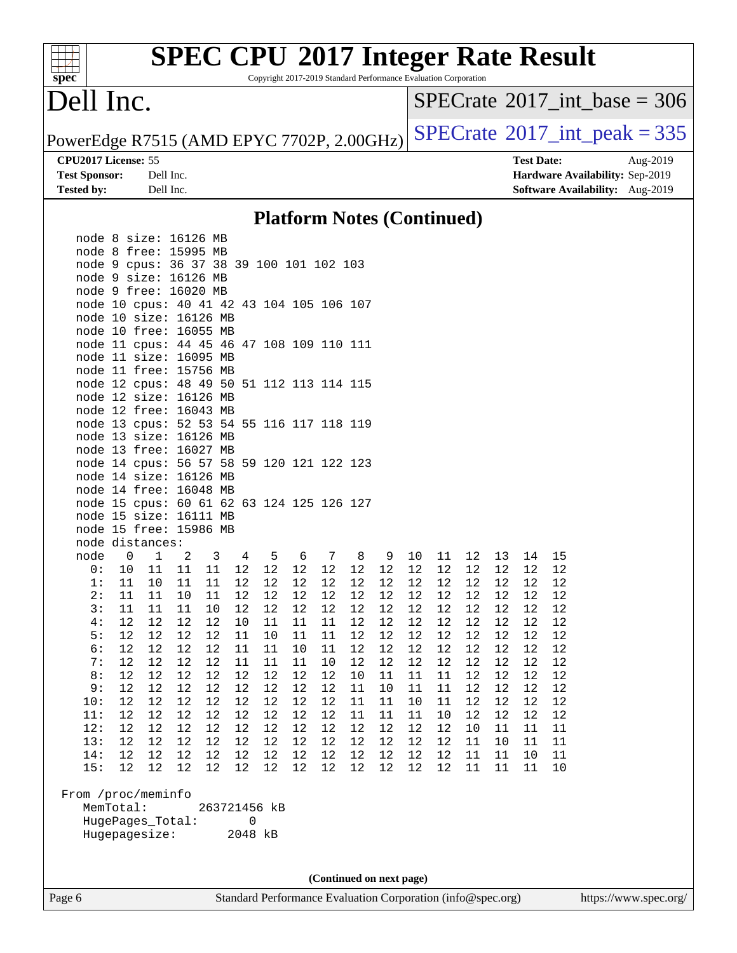Copyright 2017-2019 Standard Performance Evaluation Corporation

## Dell Inc.

**[spec](http://www.spec.org/)**

 $\pm$ 

 $SPECrate$ <sup>®</sup>[2017\\_int\\_base =](http://www.spec.org/auto/cpu2017/Docs/result-fields.html#SPECrate2017intbase) 306

PowerEdge R7515 (AMD EPYC 7702P, 2.00GHz)  $SPECrate^{\circ}2017\_int\_peak = 335$  $SPECrate^{\circ}2017\_int\_peak = 335$ 

**[Tested by:](http://www.spec.org/auto/cpu2017/Docs/result-fields.html#Testedby)** Dell Inc. **[Software Availability:](http://www.spec.org/auto/cpu2017/Docs/result-fields.html#SoftwareAvailability)** Aug-2019

**[CPU2017 License:](http://www.spec.org/auto/cpu2017/Docs/result-fields.html#CPU2017License)** 55 **[Test Date:](http://www.spec.org/auto/cpu2017/Docs/result-fields.html#TestDate)** Aug-2019 **[Test Sponsor:](http://www.spec.org/auto/cpu2017/Docs/result-fields.html#TestSponsor)** Dell Inc. **[Hardware Availability:](http://www.spec.org/auto/cpu2017/Docs/result-fields.html#HardwareAvailability)** Sep-2019

#### **[Platform Notes \(Continued\)](http://www.spec.org/auto/cpu2017/Docs/result-fields.html#PlatformNotes)**

| node 8 size: 16126 MB                     |                |                  |             |                       |                       |          |          |                          |            |          |          |    |                 |    |    |    |  |
|-------------------------------------------|----------------|------------------|-------------|-----------------------|-----------------------|----------|----------|--------------------------|------------|----------|----------|----|-----------------|----|----|----|--|
| node 8 free: 15995 MB                     |                |                  |             |                       |                       |          |          |                          |            |          |          |    |                 |    |    |    |  |
| node 9 cpus: 36 37 38 39 100 101 102 103  |                |                  |             |                       |                       |          |          |                          |            |          |          |    |                 |    |    |    |  |
| node 9 size: 16126 MB                     |                |                  |             |                       |                       |          |          |                          |            |          |          |    |                 |    |    |    |  |
| node 9 free: 16020 MB                     |                |                  |             |                       |                       |          |          |                          |            |          |          |    |                 |    |    |    |  |
| node 10 cpus: 40 41 42 43 104 105 106 107 |                |                  |             |                       |                       |          |          |                          |            |          |          |    |                 |    |    |    |  |
| node 10 size: 16126 MB                    |                |                  |             |                       |                       |          |          |                          |            |          |          |    |                 |    |    |    |  |
| node 10 free: 16055 MB                    |                |                  |             |                       |                       |          |          |                          |            |          |          |    |                 |    |    |    |  |
| node 11 cpus: 44 45 46 47 108 109 110 111 |                |                  |             |                       |                       |          |          |                          |            |          |          |    |                 |    |    |    |  |
| node 11 size: 16095 MB                    |                |                  |             |                       |                       |          |          |                          |            |          |          |    |                 |    |    |    |  |
| node 11 free: 15756 MB                    |                |                  |             |                       |                       |          |          |                          |            |          |          |    |                 |    |    |    |  |
| node 12 cpus: 48 49 50 51 112 113 114 115 |                |                  |             |                       |                       |          |          |                          |            |          |          |    |                 |    |    |    |  |
| node 12 size: 16126 MB                    |                |                  |             |                       |                       |          |          |                          |            |          |          |    |                 |    |    |    |  |
| node 12 free: 16043 MB                    |                |                  |             |                       |                       |          |          |                          |            |          |          |    |                 |    |    |    |  |
| node 13 cpus: 52 53 54 55 116 117 118 119 |                |                  |             |                       |                       |          |          |                          |            |          |          |    |                 |    |    |    |  |
| node 13 size: 16126 MB                    |                |                  |             |                       |                       |          |          |                          |            |          |          |    |                 |    |    |    |  |
| node 13 free: 16027 MB                    |                |                  |             |                       |                       |          |          |                          |            |          |          |    |                 |    |    |    |  |
| node 14 cpus: 56 57 58 59 120 121 122 123 |                |                  |             |                       |                       |          |          |                          |            |          |          |    |                 |    |    |    |  |
| node 14 size: 16126 MB                    |                |                  |             |                       |                       |          |          |                          |            |          |          |    |                 |    |    |    |  |
| node 14 free: 16048 MB                    |                |                  |             |                       |                       |          |          |                          |            |          |          |    |                 |    |    |    |  |
| node 15 cpus: 60 61 62 63 124 125 126 127 |                |                  |             |                       |                       |          |          |                          |            |          |          |    |                 |    |    |    |  |
| node 15 size: 16111 MB                    |                |                  |             |                       |                       |          |          |                          |            |          |          |    |                 |    |    |    |  |
| node 15 free: 15986 MB                    |                |                  |             |                       |                       |          |          |                          |            |          |          |    |                 |    |    |    |  |
| node distances:                           |                |                  |             |                       |                       |          |          |                          |            |          |          |    |                 |    |    |    |  |
| node                                      | $\overline{0}$ | $\mathbf{1}$     | 2           | 3                     | 4                     | 5        | - 6      | 7                        | 8          | 9        | 10       | 11 | 12              | 13 | 14 | 15 |  |
| 0:                                        | 10             | 11               | 11          | 11                    | 12                    | 12       | 12       | 12                       | 12         | 12       | 12       | 12 | 12              | 12 | 12 | 12 |  |
| 1:                                        | 11             | 10               | 11          | 11                    | 12                    | 12       | 12       | 12                       | 12         | 12       | 12       | 12 | 12              | 12 | 12 | 12 |  |
| 2:                                        | 11             | 11               | 10          | 11                    | 12                    | 12       | 12       | 12                       | 12         | 12       | 12       | 12 | 12              | 12 | 12 | 12 |  |
| 3:                                        | 11             | 11               | 11          | 10                    | 12                    | 12       | 12       | 12                       | 12         | 12       | 12       | 12 | 12              | 12 | 12 | 12 |  |
| 4:                                        | 12             | 12               | 12          | 12                    | 10                    | 11       | 11       | 11                       | 12         | 12       | 12       | 12 | $1\,2$          | 12 | 12 | 12 |  |
| 5:                                        | 12             | 12               | 12          | 12                    | 11                    | 10       | 11       | 11                       | 12         | 12       | 12       | 12 | 12              | 12 | 12 | 12 |  |
| 6:                                        | 12             | 12               | 12          | 12                    | 11                    | 11       | 10       | 11                       | 12         | 12       | 12       | 12 | 12              | 12 | 12 | 12 |  |
| 7:                                        | 12             | 12               | 12          | 12                    | 11                    | 11       | 11       | 10                       | 12         | 12       | 12       | 12 | 12              | 12 | 12 | 12 |  |
| 8:                                        | 12             | 12               | 12          | 12                    | 12                    | 12       | 12       | 12                       | 10         | 11       | 11       | 11 | 12              | 12 | 12 | 12 |  |
| 9:                                        | 12             | 12               | 12          | 12                    | 12                    | 12       | 12       | 12                       | 11         | 10       | 11       | 11 | 12              | 12 | 12 | 12 |  |
| 10:                                       | 12             | 12               | 12          | 12                    | 12                    | 12       | 12       | 12                       | 11         | 11       | 10       | 11 | 12              | 12 | 12 | 12 |  |
| 11:                                       | 12             | 12               | 12          | 12                    | 12                    | 12       | 12       | 12                       | 11         | 11       | 11       | 10 | 12              | 12 | 12 | 12 |  |
| 12:                                       | 12             | 12               | 12          | 12                    | 12                    | 12       | 12       | 12                       | 12         | 12       | 12       | 12 | 10              | 11 | 11 | 11 |  |
| 13:                                       | 12             | 12               | 12          | 12                    | 12                    | 12       | 12       | 12                       | 12         | 12       | 12       | 12 | $11\,$          | 10 | 11 | 11 |  |
| 14:                                       | 12<br>12       | 12               | 12<br>12 12 | 12<br>12 <sup>°</sup> | 12<br>12 <sup>°</sup> | 12<br>12 | 12<br>12 | 12<br>12                 | $12$<br>12 | 12<br>12 | 12<br>12 | 12 | $11\,$<br>12 11 | 11 | 10 | 11 |  |
| 15:                                       |                |                  |             |                       |                       |          |          |                          |            |          |          |    |                 | 11 | 11 | 10 |  |
| From /proc/meminfo                        |                |                  |             |                       |                       |          |          |                          |            |          |          |    |                 |    |    |    |  |
|                                           | MemTotal:      |                  |             |                       | 263721456 kB          |          |          |                          |            |          |          |    |                 |    |    |    |  |
|                                           |                | HugePages_Total: |             |                       | 0                     |          |          |                          |            |          |          |    |                 |    |    |    |  |
|                                           |                | Hugepagesize:    |             |                       | 2048 kB               |          |          |                          |            |          |          |    |                 |    |    |    |  |
|                                           |                |                  |             |                       |                       |          |          |                          |            |          |          |    |                 |    |    |    |  |
|                                           |                |                  |             |                       |                       |          |          |                          |            |          |          |    |                 |    |    |    |  |
|                                           |                |                  |             |                       |                       |          |          |                          |            |          |          |    |                 |    |    |    |  |
|                                           |                |                  |             |                       |                       |          |          | (Continued on next page) |            |          |          |    |                 |    |    |    |  |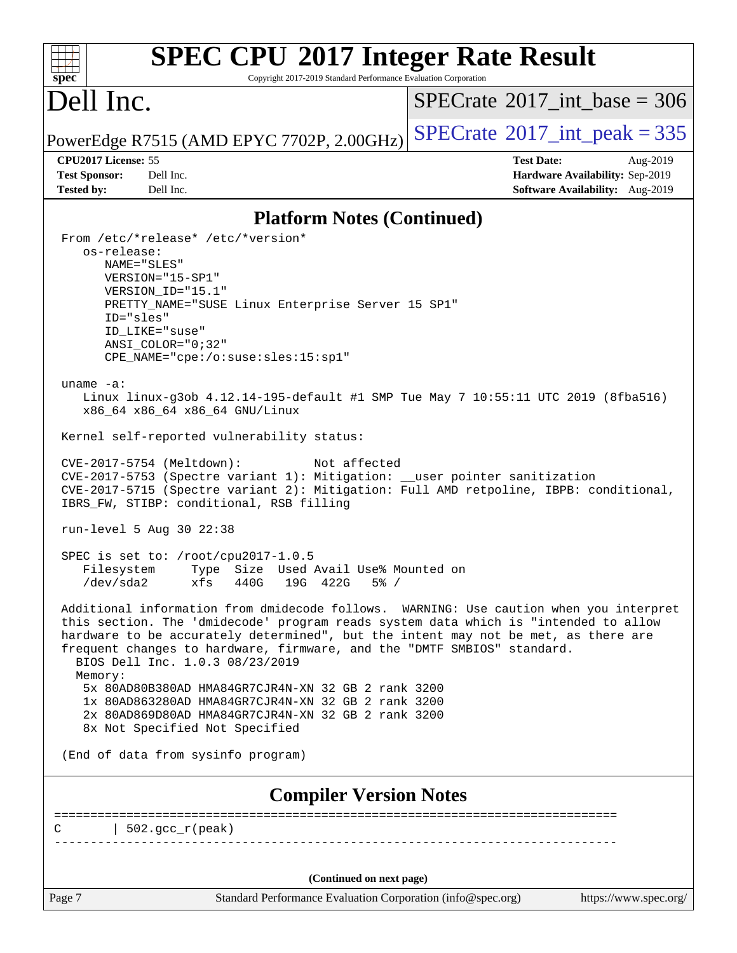#### **[SPEC CPU](http://www.spec.org/auto/cpu2017/Docs/result-fields.html#SPECCPU2017IntegerRateResult)[2017 Integer Rate Result](http://www.spec.org/auto/cpu2017/Docs/result-fields.html#SPECCPU2017IntegerRateResult)**  $+\ +$ **[spec](http://www.spec.org/)** Copyright 2017-2019 Standard Performance Evaluation Corporation Dell Inc.  $SPECrate$ <sup>®</sup>[2017\\_int\\_base =](http://www.spec.org/auto/cpu2017/Docs/result-fields.html#SPECrate2017intbase) 306 PowerEdge R7515 (AMD EPYC 7702P, 2.00GHz)  $\text{SPECrate}$  $\text{SPECrate}$  $\text{SPECrate}$ <sup>®</sup>[2017\\_int\\_peak = 3](http://www.spec.org/auto/cpu2017/Docs/result-fields.html#SPECrate2017intpeak)35 **[CPU2017 License:](http://www.spec.org/auto/cpu2017/Docs/result-fields.html#CPU2017License)** 55 **[Test Date:](http://www.spec.org/auto/cpu2017/Docs/result-fields.html#TestDate)** Aug-2019 **[Test Sponsor:](http://www.spec.org/auto/cpu2017/Docs/result-fields.html#TestSponsor)** Dell Inc. **[Hardware Availability:](http://www.spec.org/auto/cpu2017/Docs/result-fields.html#HardwareAvailability)** Sep-2019 **[Tested by:](http://www.spec.org/auto/cpu2017/Docs/result-fields.html#Testedby)** Dell Inc. **[Software Availability:](http://www.spec.org/auto/cpu2017/Docs/result-fields.html#SoftwareAvailability)** Aug-2019 **[Platform Notes \(Continued\)](http://www.spec.org/auto/cpu2017/Docs/result-fields.html#PlatformNotes)** From /etc/\*release\* /etc/\*version\* os-release: NAME="SLES" VERSION="15-SP1" VERSION\_ID="15.1" PRETTY\_NAME="SUSE Linux Enterprise Server 15 SP1" ID="sles" ID\_LIKE="suse" ANSI\_COLOR="0;32" CPE\_NAME="cpe:/o:suse:sles:15:sp1" uname -a: Linux linux-g3ob 4.12.14-195-default #1 SMP Tue May 7 10:55:11 UTC 2019 (8fba516) x86\_64 x86\_64 x86\_64 GNU/Linux Kernel self-reported vulnerability status: CVE-2017-5754 (Meltdown): Not affected CVE-2017-5753 (Spectre variant 1): Mitigation: \_\_user pointer sanitization CVE-2017-5715 (Spectre variant 2): Mitigation: Full AMD retpoline, IBPB: conditional, IBRS\_FW, STIBP: conditional, RSB filling run-level 5 Aug 30 22:38 SPEC is set to: /root/cpu2017-1.0.5 Filesystem Type Size Used Avail Use% Mounted on /dev/sda2 xfs 440G 19G 422G 5% / Additional information from dmidecode follows. WARNING: Use caution when you interpret this section. The 'dmidecode' program reads system data which is "intended to allow hardware to be accurately determined", but the intent may not be met, as there are frequent changes to hardware, firmware, and the "DMTF SMBIOS" standard. BIOS Dell Inc. 1.0.3 08/23/2019 Memory: 5x 80AD80B380AD HMA84GR7CJR4N-XN 32 GB 2 rank 3200 1x 80AD863280AD HMA84GR7CJR4N-XN 32 GB 2 rank 3200 2x 80AD869D80AD HMA84GR7CJR4N-XN 32 GB 2 rank 3200 8x Not Specified Not Specified (End of data from sysinfo program) **[Compiler Version Notes](http://www.spec.org/auto/cpu2017/Docs/result-fields.html#CompilerVersionNotes)** ==============================================================================  $C \qquad \qquad \vert 502 \text{.}$  gcc  $r(\text{peak})$ ------------------------------------------------------------------------------ **(Continued on next page)**Page 7 Standard Performance Evaluation Corporation [\(info@spec.org\)](mailto:info@spec.org) <https://www.spec.org/>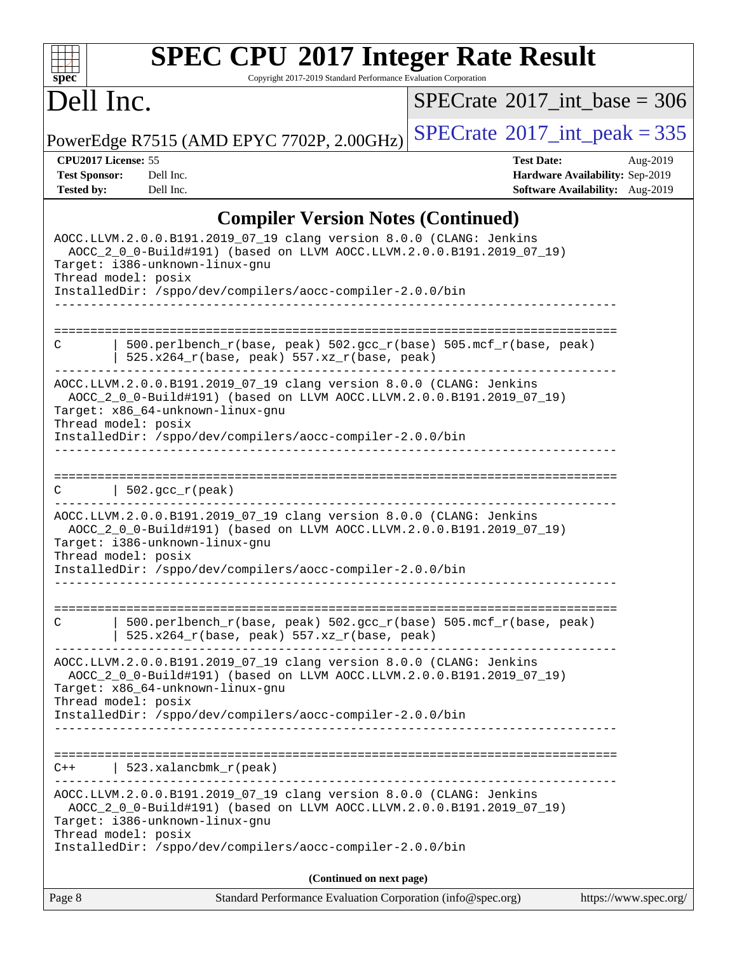#### **[SPEC CPU](http://www.spec.org/auto/cpu2017/Docs/result-fields.html#SPECCPU2017IntegerRateResult)[2017 Integer Rate Result](http://www.spec.org/auto/cpu2017/Docs/result-fields.html#SPECCPU2017IntegerRateResult)**  $\pm r$ **[spec](http://www.spec.org/)** Copyright 2017-2019 Standard Performance Evaluation Corporation Dell Inc.  $SPECTate@2017_int\_base = 306$ PowerEdge R7515 (AMD EPYC 7702P, 2.00GHz)  $SPECrate^{\circ}2017\_int\_peak = 335$  $SPECrate^{\circ}2017\_int\_peak = 335$ **[CPU2017 License:](http://www.spec.org/auto/cpu2017/Docs/result-fields.html#CPU2017License)** 55 **[Test Date:](http://www.spec.org/auto/cpu2017/Docs/result-fields.html#TestDate)** Aug-2019 **[Test Sponsor:](http://www.spec.org/auto/cpu2017/Docs/result-fields.html#TestSponsor)** Dell Inc. **[Hardware Availability:](http://www.spec.org/auto/cpu2017/Docs/result-fields.html#HardwareAvailability)** Sep-2019 **[Tested by:](http://www.spec.org/auto/cpu2017/Docs/result-fields.html#Testedby)** Dell Inc. **[Software Availability:](http://www.spec.org/auto/cpu2017/Docs/result-fields.html#SoftwareAvailability)** Aug-2019 **[Compiler Version Notes \(Continued\)](http://www.spec.org/auto/cpu2017/Docs/result-fields.html#CompilerVersionNotes)** AOCC.LLVM.2.0.0.B191.2019\_07\_19 clang version 8.0.0 (CLANG: Jenkins AOCC\_2\_0\_0-Build#191) (based on LLVM AOCC.LLVM.2.0.0.B191.2019\_07\_19) Target: i386-unknown-linux-gnu Thread model: posix InstalledDir: /sppo/dev/compilers/aocc-compiler-2.0.0/bin ------------------------------------------------------------------------------ ============================================================================== C | 500.perlbench\_r(base, peak) 502.gcc\_r(base) 505.mcf\_r(base, peak) | 525.x264 $r(base, peak)$  557.xz $r(base, peak)$ ------------------------------------------------------------------------------ AOCC.LLVM.2.0.0.B191.2019\_07\_19 clang version 8.0.0 (CLANG: Jenkins AOCC\_2\_0\_0-Build#191) (based on LLVM AOCC.LLVM.2.0.0.B191.2019\_07\_19) Target: x86\_64-unknown-linux-gnu Thread model: posix InstalledDir: /sppo/dev/compilers/aocc-compiler-2.0.0/bin ------------------------------------------------------------------------------ ==============================================================================  $C \qquad \qquad \vert \quad 502.\text{gcc\_r}(\text{peak})$ ------------------------------------------------------------------------------ AOCC.LLVM.2.0.0.B191.2019\_07\_19 clang version 8.0.0 (CLANG: Jenkins AOCC\_2\_0\_0-Build#191) (based on LLVM AOCC.LLVM.2.0.0.B191.2019\_07\_19) Target: i386-unknown-linux-gnu Thread model: posix InstalledDir: /sppo/dev/compilers/aocc-compiler-2.0.0/bin ------------------------------------------------------------------------------ ============================================================================== C | 500.perlbench\_r(base, peak) 502.gcc\_r(base) 505.mcf\_r(base, peak) | 525.x264 $r(base, peak)$  557.xz $r(base, peak)$ ------------------------------------------------------------------------------ AOCC.LLVM.2.0.0.B191.2019\_07\_19 clang version 8.0.0 (CLANG: Jenkins AOCC\_2\_0\_0-Build#191) (based on LLVM AOCC.LLVM.2.0.0.B191.2019\_07\_19) Target: x86\_64-unknown-linux-gnu Thread model: posix InstalledDir: /sppo/dev/compilers/aocc-compiler-2.0.0/bin ------------------------------------------------------------------------------ ==============================================================================  $C++$  | 523.xalancbmk\_r(peak) ------------------------------------------------------------------------------ AOCC.LLVM.2.0.0.B191.2019\_07\_19 clang version 8.0.0 (CLANG: Jenkins AOCC\_2\_0\_0-Build#191) (based on LLVM AOCC.LLVM.2.0.0.B191.2019\_07\_19) Target: i386-unknown-linux-gnu Thread model: posix InstalledDir: /sppo/dev/compilers/aocc-compiler-2.0.0/bin **(Continued on next page)**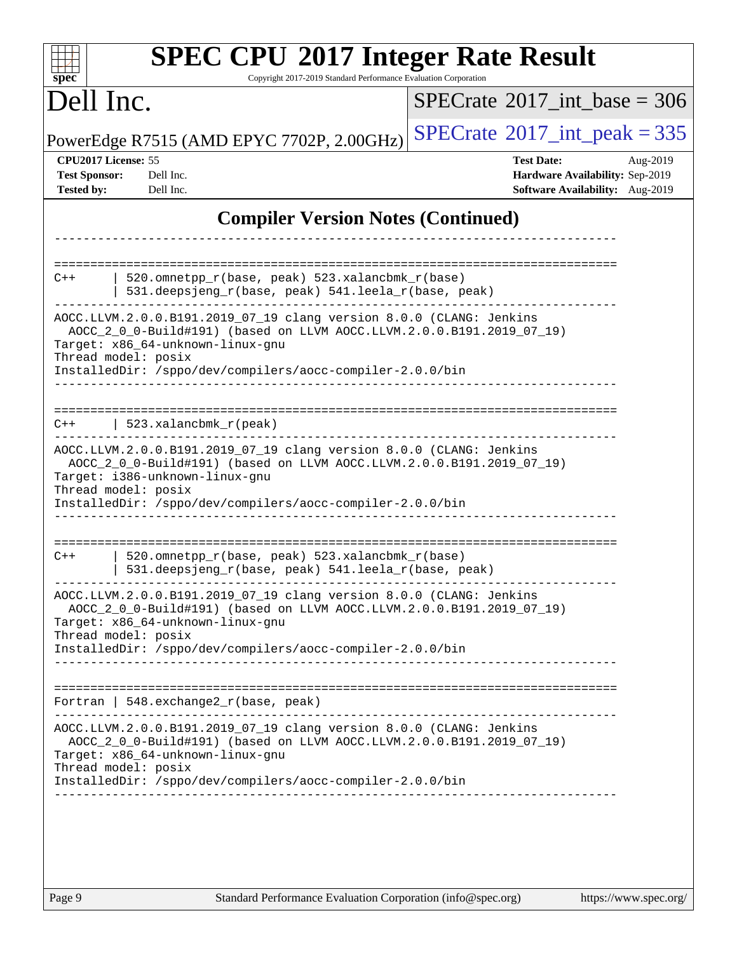| <b>SPEC CPU®2017 Integer Rate Result</b><br>Copyright 2017-2019 Standard Performance Evaluation Corporation<br>spec                                                                                                                                                  |                                                                                                     |
|----------------------------------------------------------------------------------------------------------------------------------------------------------------------------------------------------------------------------------------------------------------------|-----------------------------------------------------------------------------------------------------|
| Dell Inc.                                                                                                                                                                                                                                                            | $SPECTate$ <sup>®</sup> 2017_int_base = 306                                                         |
| PowerEdge R7515 (AMD EPYC 7702P, 2.00GHz)                                                                                                                                                                                                                            | $SPECTate$ <sup>®</sup> 2017_int_peak = 335                                                         |
| CPU2017 License: 55<br><b>Test Sponsor:</b><br>Dell Inc.<br><b>Tested by:</b><br>Dell Inc.                                                                                                                                                                           | <b>Test Date:</b><br>Aug-2019<br>Hardware Availability: Sep-2019<br>Software Availability: Aug-2019 |
| <b>Compiler Version Notes (Continued)</b>                                                                                                                                                                                                                            |                                                                                                     |
| 520.omnetpp_r(base, peak) 523.xalancbmk_r(base)<br>$C++$<br>531.deepsjeng_r(base, peak) 541.leela_r(base, peak)<br>AOCC.LLVM.2.0.0.B191.2019_07_19 clang version 8.0.0 (CLANG: Jenkins                                                                               |                                                                                                     |
| AOCC_2_0_0-Build#191) (based on LLVM AOCC.LLVM.2.0.0.B191.2019_07_19)<br>Target: x86_64-unknown-linux-gnu<br>Thread model: posix<br>InstalledDir: /sppo/dev/compilers/aocc-compiler-2.0.0/bin                                                                        |                                                                                                     |
| $523.xalanchm k_r (peak)$<br>C++                                                                                                                                                                                                                                     |                                                                                                     |
| AOCC.LLVM.2.0.0.B191.2019_07_19 clang version 8.0.0 (CLANG: Jenkins<br>AOCC_2_0_0-Build#191) (based on LLVM AOCC.LLVM.2.0.0.B191.2019_07_19)<br>Target: i386-unknown-linux-gnu<br>Thread model: posix<br>InstalledDir: /sppo/dev/compilers/aocc-compiler-2.0.0/bin   |                                                                                                     |
| 520.omnetpp_r(base, peak) 523.xalancbmk_r(base)<br>$C++$<br>531.deepsjeng_r(base, peak) 541.leela_r(base, peak)                                                                                                                                                      |                                                                                                     |
| AOCC.LLVM.2.0.0.B191.2019_07_19 clang version 8.0.0 (CLANG: Jenkins<br>AOCC_2_0_0-Build#191) (based on LLVM AOCC.LLVM.2.0.0.B191.2019_07_19)<br>Target: x86_64-unknown-linux-gnu<br>Thread model: posix<br>InstalledDir: /sppo/dev/compilers/aocc-compiler-2.0.0/bin |                                                                                                     |
| Fortran   $548$ . exchange $2r$ (base, peak)                                                                                                                                                                                                                         |                                                                                                     |
| AOCC.LLVM.2.0.0.B191.2019_07_19 clang version 8.0.0 (CLANG: Jenkins<br>AOCC_2_0_0-Build#191) (based on LLVM AOCC.LLVM.2.0.0.B191.2019_07_19)<br>Target: x86_64-unknown-linux-gnu<br>Thread model: posix<br>InstalledDir: /sppo/dev/compilers/aocc-compiler-2.0.0/bin |                                                                                                     |
|                                                                                                                                                                                                                                                                      |                                                                                                     |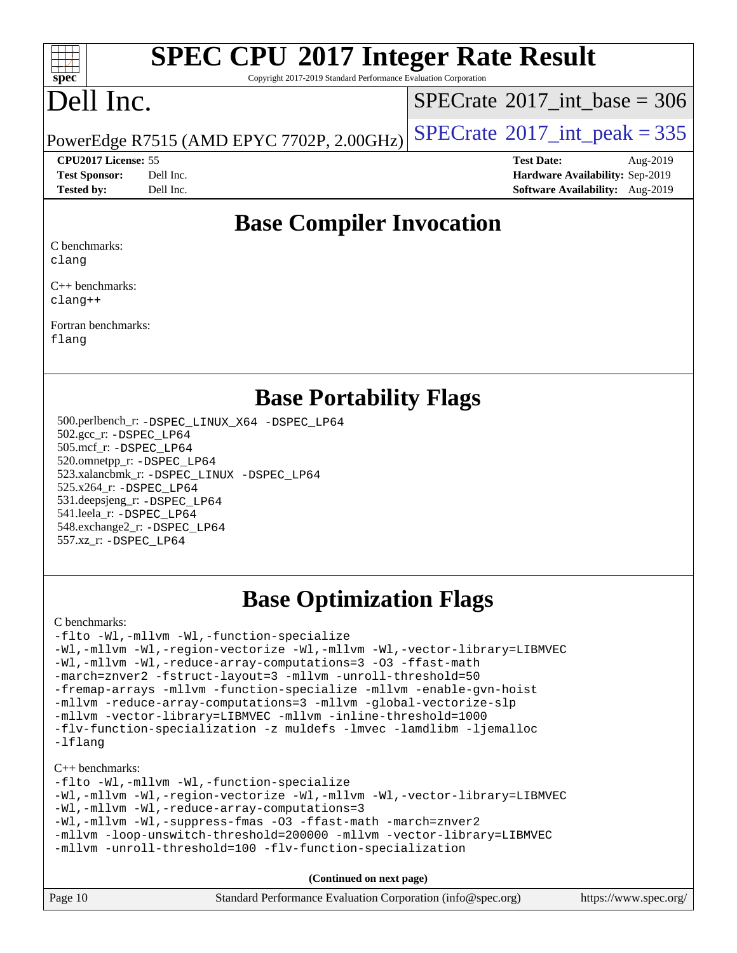#### $\pm t$ **[spec](http://www.spec.org/)**

# **[SPEC CPU](http://www.spec.org/auto/cpu2017/Docs/result-fields.html#SPECCPU2017IntegerRateResult)[2017 Integer Rate Result](http://www.spec.org/auto/cpu2017/Docs/result-fields.html#SPECCPU2017IntegerRateResult)**

Copyright 2017-2019 Standard Performance Evaluation Corporation

## Dell Inc.

 $SPECTate@2017_int\_base = 306$ 

PowerEdge R7515 (AMD EPYC 7702P, 2.00GHz)  $\text{SPECrate}^{\circ}2017\_int\_peak = 335$  $\text{SPECrate}^{\circ}2017\_int\_peak = 335$  $\text{SPECrate}^{\circ}2017\_int\_peak = 335$ 

**[CPU2017 License:](http://www.spec.org/auto/cpu2017/Docs/result-fields.html#CPU2017License)** 55 **[Test Date:](http://www.spec.org/auto/cpu2017/Docs/result-fields.html#TestDate)** Aug-2019 **[Test Sponsor:](http://www.spec.org/auto/cpu2017/Docs/result-fields.html#TestSponsor)** Dell Inc. **[Hardware Availability:](http://www.spec.org/auto/cpu2017/Docs/result-fields.html#HardwareAvailability)** Sep-2019 **[Tested by:](http://www.spec.org/auto/cpu2017/Docs/result-fields.html#Testedby)** Dell Inc. **[Software Availability:](http://www.spec.org/auto/cpu2017/Docs/result-fields.html#SoftwareAvailability)** Aug-2019

## **[Base Compiler Invocation](http://www.spec.org/auto/cpu2017/Docs/result-fields.html#BaseCompilerInvocation)**

[C benchmarks:](http://www.spec.org/auto/cpu2017/Docs/result-fields.html#Cbenchmarks) [clang](http://www.spec.org/cpu2017/results/res2019q4/cpu2017-20191014-19037.flags.html#user_CCbase_clang-c)

[C++ benchmarks:](http://www.spec.org/auto/cpu2017/Docs/result-fields.html#CXXbenchmarks) [clang++](http://www.spec.org/cpu2017/results/res2019q4/cpu2017-20191014-19037.flags.html#user_CXXbase_clang-cpp)

[Fortran benchmarks](http://www.spec.org/auto/cpu2017/Docs/result-fields.html#Fortranbenchmarks): [flang](http://www.spec.org/cpu2017/results/res2019q4/cpu2017-20191014-19037.flags.html#user_FCbase_flang)

### **[Base Portability Flags](http://www.spec.org/auto/cpu2017/Docs/result-fields.html#BasePortabilityFlags)**

 500.perlbench\_r: [-DSPEC\\_LINUX\\_X64](http://www.spec.org/cpu2017/results/res2019q4/cpu2017-20191014-19037.flags.html#b500.perlbench_r_basePORTABILITY_DSPEC_LINUX_X64) [-DSPEC\\_LP64](http://www.spec.org/cpu2017/results/res2019q4/cpu2017-20191014-19037.flags.html#b500.perlbench_r_baseEXTRA_PORTABILITY_DSPEC_LP64) 502.gcc\_r: [-DSPEC\\_LP64](http://www.spec.org/cpu2017/results/res2019q4/cpu2017-20191014-19037.flags.html#suite_baseEXTRA_PORTABILITY502_gcc_r_DSPEC_LP64) 505.mcf\_r: [-DSPEC\\_LP64](http://www.spec.org/cpu2017/results/res2019q4/cpu2017-20191014-19037.flags.html#suite_baseEXTRA_PORTABILITY505_mcf_r_DSPEC_LP64) 520.omnetpp\_r: [-DSPEC\\_LP64](http://www.spec.org/cpu2017/results/res2019q4/cpu2017-20191014-19037.flags.html#suite_baseEXTRA_PORTABILITY520_omnetpp_r_DSPEC_LP64) 523.xalancbmk\_r: [-DSPEC\\_LINUX](http://www.spec.org/cpu2017/results/res2019q4/cpu2017-20191014-19037.flags.html#b523.xalancbmk_r_basePORTABILITY_DSPEC_LINUX) [-DSPEC\\_LP64](http://www.spec.org/cpu2017/results/res2019q4/cpu2017-20191014-19037.flags.html#suite_baseEXTRA_PORTABILITY523_xalancbmk_r_DSPEC_LP64) 525.x264\_r: [-DSPEC\\_LP64](http://www.spec.org/cpu2017/results/res2019q4/cpu2017-20191014-19037.flags.html#suite_baseEXTRA_PORTABILITY525_x264_r_DSPEC_LP64) 531.deepsjeng\_r: [-DSPEC\\_LP64](http://www.spec.org/cpu2017/results/res2019q4/cpu2017-20191014-19037.flags.html#suite_baseEXTRA_PORTABILITY531_deepsjeng_r_DSPEC_LP64) 541.leela\_r: [-DSPEC\\_LP64](http://www.spec.org/cpu2017/results/res2019q4/cpu2017-20191014-19037.flags.html#suite_baseEXTRA_PORTABILITY541_leela_r_DSPEC_LP64) 548.exchange2\_r: [-DSPEC\\_LP64](http://www.spec.org/cpu2017/results/res2019q4/cpu2017-20191014-19037.flags.html#suite_baseEXTRA_PORTABILITY548_exchange2_r_DSPEC_LP64) 557.xz\_r: [-DSPEC\\_LP64](http://www.spec.org/cpu2017/results/res2019q4/cpu2017-20191014-19037.flags.html#suite_baseEXTRA_PORTABILITY557_xz_r_DSPEC_LP64)

## **[Base Optimization Flags](http://www.spec.org/auto/cpu2017/Docs/result-fields.html#BaseOptimizationFlags)**

[C benchmarks](http://www.spec.org/auto/cpu2017/Docs/result-fields.html#Cbenchmarks):

[-flto](http://www.spec.org/cpu2017/results/res2019q4/cpu2017-20191014-19037.flags.html#user_CCbase_aocc-flto) [-Wl,-mllvm -Wl,-function-specialize](http://www.spec.org/cpu2017/results/res2019q4/cpu2017-20191014-19037.flags.html#user_CCbase_F-function-specialize_7e7e661e57922243ee67c9a1251cb8910e607325179a0ce7f2884e09a6f5d4a5ef0ae4f37e8a2a11c95fc48e931f06dc2b6016f14b511fcb441e048bef1b065a) [-Wl,-mllvm -Wl,-region-vectorize](http://www.spec.org/cpu2017/results/res2019q4/cpu2017-20191014-19037.flags.html#user_CCbase_F-region-vectorize_fb6c6b5aa293c88efc6c7c2b52b20755e943585b1fe8658c35afef78727fff56e1a56891413c30e36b8e2a6f9a71126986319243e80eb6110b78b288f533c52b) [-Wl,-mllvm -Wl,-vector-library=LIBMVEC](http://www.spec.org/cpu2017/results/res2019q4/cpu2017-20191014-19037.flags.html#user_CCbase_F-use-vector-library_0a14b27fae317f283640384a31f7bfcc2bd4c1d0b5cfc618a3a430800c9b20217b00f61303eff223a3251b4f06ffbc9739dc5296db9d1fbb9ad24a3939d86d66) [-Wl,-mllvm -Wl,-reduce-array-computations=3](http://www.spec.org/cpu2017/results/res2019q4/cpu2017-20191014-19037.flags.html#user_CCbase_F-reduce-array-computations_b882aefe7a5dda4e33149f6299762b9a720dace3e498e13756f4c04e5a19edf5315c1f3993de2e61ec41e8c206231f84e05da7040e1bb5d69ba27d10a12507e4) [-O3](http://www.spec.org/cpu2017/results/res2019q4/cpu2017-20191014-19037.flags.html#user_CCbase_F-O3) [-ffast-math](http://www.spec.org/cpu2017/results/res2019q4/cpu2017-20191014-19037.flags.html#user_CCbase_aocc-ffast-math) [-march=znver2](http://www.spec.org/cpu2017/results/res2019q4/cpu2017-20191014-19037.flags.html#user_CCbase_aocc-march_3e2e19cff2eeef60c5d90b059483627c9ea47eca6d66670dbd53f9185f6439e27eb5e104cf773e9e8ab18c8842ce63e461a3e948d0214bd567ef3ade411bf467) [-fstruct-layout=3](http://www.spec.org/cpu2017/results/res2019q4/cpu2017-20191014-19037.flags.html#user_CCbase_F-struct-layout) [-mllvm -unroll-threshold=50](http://www.spec.org/cpu2017/results/res2019q4/cpu2017-20191014-19037.flags.html#user_CCbase_F-unroll-threshold_458874500b2c105d6d5cb4d7a611c40e2b16e9e3d26b355fea72d644c3673b4de4b3932662f0ed3dbec75c491a13da2d2ca81180bd779dc531083ef1e1e549dc) [-fremap-arrays](http://www.spec.org/cpu2017/results/res2019q4/cpu2017-20191014-19037.flags.html#user_CCbase_F-fremap-arrays) [-mllvm -function-specialize](http://www.spec.org/cpu2017/results/res2019q4/cpu2017-20191014-19037.flags.html#user_CCbase_F-function-specialize_233b3bdba86027f1b094368157e481c5bc59f40286dc25bfadc1858dcd5745c24fd30d5f188710db7fea399bcc9f44a80b3ce3aacc70a8870250c3ae5e1f35b8) [-mllvm -enable-gvn-hoist](http://www.spec.org/cpu2017/results/res2019q4/cpu2017-20191014-19037.flags.html#user_CCbase_F-enable-gvn-hoist_e5856354646dd6ca1333a0ad99b817e4cf8932b91b82809fd8fd47ceff7b22a89eba5c98fd3e3fa5200368fd772cec3dd56abc3c8f7b655a71b9f9848dddedd5) [-mllvm -reduce-array-computations=3](http://www.spec.org/cpu2017/results/res2019q4/cpu2017-20191014-19037.flags.html#user_CCbase_F-reduce-array-computations_aceadb8604558b566e0e3a0d7a3c1533923dd1fa0889614e16288028922629a28d5695c24d3b3be4306b1e311c54317dfffe3a2e57fbcaabc737a1798de39145) [-mllvm -global-vectorize-slp](http://www.spec.org/cpu2017/results/res2019q4/cpu2017-20191014-19037.flags.html#user_CCbase_F-global-vectorize-slp_a3935e8627af4ced727033b1ffd4db27f4d541a363d28d82bf4c2925fb3a0fd4115d6e42d13a2829f9e024d6608eb67a85cb49770f2da5c5ac8dbc737afad603) [-mllvm -vector-library=LIBMVEC](http://www.spec.org/cpu2017/results/res2019q4/cpu2017-20191014-19037.flags.html#user_CCbase_F-use-vector-library_e584e20b4f7ec96aa109254b65d8e01d864f3d68580371b9d93ed7c338191d4cfce20c3c864632264effc6bbe4c7c38153d02096a342ee92501c4a53204a7871) [-mllvm -inline-threshold=1000](http://www.spec.org/cpu2017/results/res2019q4/cpu2017-20191014-19037.flags.html#user_CCbase_dragonegg-llvm-inline-threshold_b7832241b0a6397e4ecdbaf0eb7defdc10f885c2a282fa3240fdc99844d543fda39cf8a4a9dccf68cf19b5438ac3b455264f478df15da0f4988afa40d8243bab) [-flv-function-specialization](http://www.spec.org/cpu2017/results/res2019q4/cpu2017-20191014-19037.flags.html#user_CCbase_F-flv-function-specialization) [-z muldefs](http://www.spec.org/cpu2017/results/res2019q4/cpu2017-20191014-19037.flags.html#user_CCbase_aocc-muldefs) [-lmvec](http://www.spec.org/cpu2017/results/res2019q4/cpu2017-20191014-19037.flags.html#user_CCbase_F-lmvec) [-lamdlibm](http://www.spec.org/cpu2017/results/res2019q4/cpu2017-20191014-19037.flags.html#user_CCbase_F-lamdlibm) [-ljemalloc](http://www.spec.org/cpu2017/results/res2019q4/cpu2017-20191014-19037.flags.html#user_CCbase_jemalloc-lib) [-lflang](http://www.spec.org/cpu2017/results/res2019q4/cpu2017-20191014-19037.flags.html#user_CCbase_F-lflang)

[C++ benchmarks:](http://www.spec.org/auto/cpu2017/Docs/result-fields.html#CXXbenchmarks)

[-flto](http://www.spec.org/cpu2017/results/res2019q4/cpu2017-20191014-19037.flags.html#user_CXXbase_aocc-flto) [-Wl,-mllvm -Wl,-function-specialize](http://www.spec.org/cpu2017/results/res2019q4/cpu2017-20191014-19037.flags.html#user_CXXbase_F-function-specialize_7e7e661e57922243ee67c9a1251cb8910e607325179a0ce7f2884e09a6f5d4a5ef0ae4f37e8a2a11c95fc48e931f06dc2b6016f14b511fcb441e048bef1b065a) [-Wl,-mllvm -Wl,-region-vectorize](http://www.spec.org/cpu2017/results/res2019q4/cpu2017-20191014-19037.flags.html#user_CXXbase_F-region-vectorize_fb6c6b5aa293c88efc6c7c2b52b20755e943585b1fe8658c35afef78727fff56e1a56891413c30e36b8e2a6f9a71126986319243e80eb6110b78b288f533c52b) [-Wl,-mllvm -Wl,-vector-library=LIBMVEC](http://www.spec.org/cpu2017/results/res2019q4/cpu2017-20191014-19037.flags.html#user_CXXbase_F-use-vector-library_0a14b27fae317f283640384a31f7bfcc2bd4c1d0b5cfc618a3a430800c9b20217b00f61303eff223a3251b4f06ffbc9739dc5296db9d1fbb9ad24a3939d86d66) [-Wl,-mllvm -Wl,-reduce-array-computations=3](http://www.spec.org/cpu2017/results/res2019q4/cpu2017-20191014-19037.flags.html#user_CXXbase_F-reduce-array-computations_b882aefe7a5dda4e33149f6299762b9a720dace3e498e13756f4c04e5a19edf5315c1f3993de2e61ec41e8c206231f84e05da7040e1bb5d69ba27d10a12507e4) [-Wl,-mllvm -Wl,-suppress-fmas](http://www.spec.org/cpu2017/results/res2019q4/cpu2017-20191014-19037.flags.html#user_CXXbase_F-suppress-fmas_f00f00630e4a059e8af9c161e9bbf420bcf19890a7f99d5933525e66aa4b0bb3ab2339d2b12d97d3a5f5d271e839fe9c109938e91fe06230fb53651590cfa1e8) [-O3](http://www.spec.org/cpu2017/results/res2019q4/cpu2017-20191014-19037.flags.html#user_CXXbase_F-O3) [-ffast-math](http://www.spec.org/cpu2017/results/res2019q4/cpu2017-20191014-19037.flags.html#user_CXXbase_aocc-ffast-math) [-march=znver2](http://www.spec.org/cpu2017/results/res2019q4/cpu2017-20191014-19037.flags.html#user_CXXbase_aocc-march_3e2e19cff2eeef60c5d90b059483627c9ea47eca6d66670dbd53f9185f6439e27eb5e104cf773e9e8ab18c8842ce63e461a3e948d0214bd567ef3ade411bf467) [-mllvm -loop-unswitch-threshold=200000](http://www.spec.org/cpu2017/results/res2019q4/cpu2017-20191014-19037.flags.html#user_CXXbase_F-loop-unswitch-threshold_f9a82ae3270e55b5fbf79d0d96ee93606b73edbbe527d20b18b7bff1a3a146ad50cfc7454c5297978340ae9213029016a7d16221274d672d3f7f42ed25274e1d) [-mllvm -vector-library=LIBMVEC](http://www.spec.org/cpu2017/results/res2019q4/cpu2017-20191014-19037.flags.html#user_CXXbase_F-use-vector-library_e584e20b4f7ec96aa109254b65d8e01d864f3d68580371b9d93ed7c338191d4cfce20c3c864632264effc6bbe4c7c38153d02096a342ee92501c4a53204a7871) [-mllvm -unroll-threshold=100](http://www.spec.org/cpu2017/results/res2019q4/cpu2017-20191014-19037.flags.html#user_CXXbase_F-unroll-threshold_2755d0c78138845d361fa1543e3a063fffa198df9b3edf0cfb856bbc88a81e1769b12ac7a550c5d35197be55360db1a3f95a8d1304df999456cabf5120c45168) [-flv-function-specialization](http://www.spec.org/cpu2017/results/res2019q4/cpu2017-20191014-19037.flags.html#user_CXXbase_F-flv-function-specialization)

**(Continued on next page)**

| Page $10$<br>Standard Performance Evaluation Corporation (info@spec.org)<br>https://www.spec.org/ |
|---------------------------------------------------------------------------------------------------|
|---------------------------------------------------------------------------------------------------|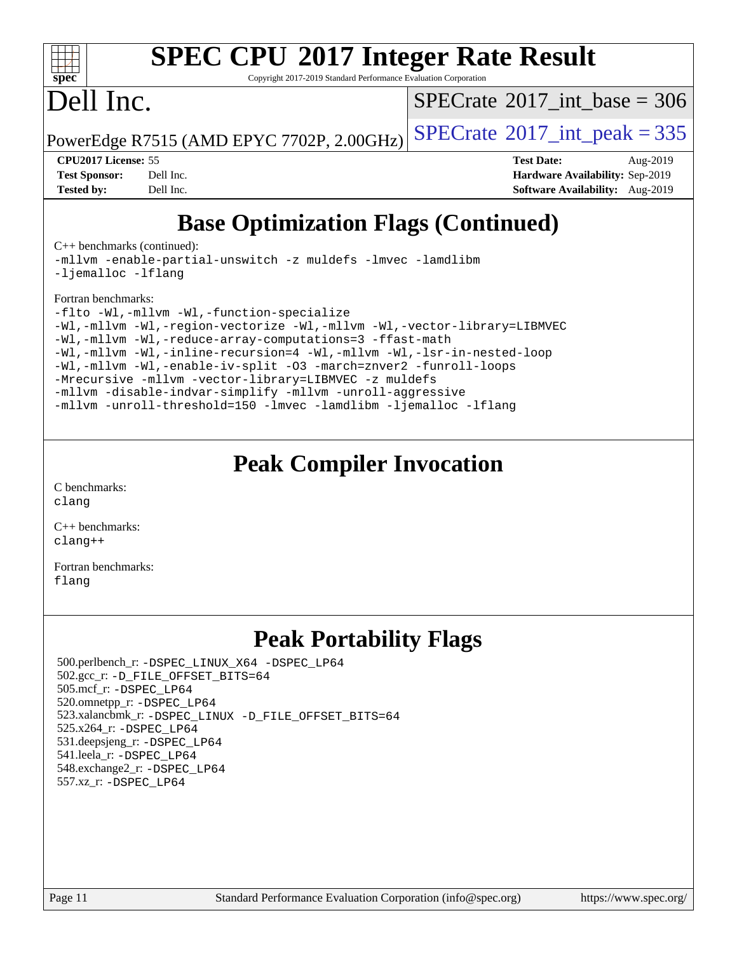

Copyright 2017-2019 Standard Performance Evaluation Corporation

## Dell Inc.

 $SPECTate@2017_int\_base = 306$ 

PowerEdge R7515 (AMD EPYC 7702P, 2.00GHz)  $\left|$  [SPECrate](http://www.spec.org/auto/cpu2017/Docs/result-fields.html#SPECrate2017intpeak)®[2017\\_int\\_peak = 3](http://www.spec.org/auto/cpu2017/Docs/result-fields.html#SPECrate2017intpeak)35

**[CPU2017 License:](http://www.spec.org/auto/cpu2017/Docs/result-fields.html#CPU2017License)** 55 **[Test Date:](http://www.spec.org/auto/cpu2017/Docs/result-fields.html#TestDate)** Aug-2019 **[Test Sponsor:](http://www.spec.org/auto/cpu2017/Docs/result-fields.html#TestSponsor)** Dell Inc. **[Hardware Availability:](http://www.spec.org/auto/cpu2017/Docs/result-fields.html#HardwareAvailability)** Sep-2019 **[Tested by:](http://www.spec.org/auto/cpu2017/Docs/result-fields.html#Testedby)** Dell Inc. **[Software Availability:](http://www.spec.org/auto/cpu2017/Docs/result-fields.html#SoftwareAvailability)** Aug-2019

## **[Base Optimization Flags \(Continued\)](http://www.spec.org/auto/cpu2017/Docs/result-fields.html#BaseOptimizationFlags)**

[C++ benchmarks](http://www.spec.org/auto/cpu2017/Docs/result-fields.html#CXXbenchmarks) (continued):

[-mllvm -enable-partial-unswitch](http://www.spec.org/cpu2017/results/res2019q4/cpu2017-20191014-19037.flags.html#user_CXXbase_F-enable-partial-unswitch_6e1c33f981d77963b1eaf834973128a7f33ce3f8e27f54689656697a35e89dcc875281e0e6283d043e32f367dcb605ba0e307a92e830f7e326789fa6c61b35d3) [-z muldefs](http://www.spec.org/cpu2017/results/res2019q4/cpu2017-20191014-19037.flags.html#user_CXXbase_aocc-muldefs) [-lmvec](http://www.spec.org/cpu2017/results/res2019q4/cpu2017-20191014-19037.flags.html#user_CXXbase_F-lmvec) [-lamdlibm](http://www.spec.org/cpu2017/results/res2019q4/cpu2017-20191014-19037.flags.html#user_CXXbase_F-lamdlibm) [-ljemalloc](http://www.spec.org/cpu2017/results/res2019q4/cpu2017-20191014-19037.flags.html#user_CXXbase_jemalloc-lib) [-lflang](http://www.spec.org/cpu2017/results/res2019q4/cpu2017-20191014-19037.flags.html#user_CXXbase_F-lflang)

#### [Fortran benchmarks](http://www.spec.org/auto/cpu2017/Docs/result-fields.html#Fortranbenchmarks):

[-flto](http://www.spec.org/cpu2017/results/res2019q4/cpu2017-20191014-19037.flags.html#user_FCbase_aocc-flto) [-Wl,-mllvm -Wl,-function-specialize](http://www.spec.org/cpu2017/results/res2019q4/cpu2017-20191014-19037.flags.html#user_FCbase_F-function-specialize_7e7e661e57922243ee67c9a1251cb8910e607325179a0ce7f2884e09a6f5d4a5ef0ae4f37e8a2a11c95fc48e931f06dc2b6016f14b511fcb441e048bef1b065a) [-Wl,-mllvm -Wl,-region-vectorize](http://www.spec.org/cpu2017/results/res2019q4/cpu2017-20191014-19037.flags.html#user_FCbase_F-region-vectorize_fb6c6b5aa293c88efc6c7c2b52b20755e943585b1fe8658c35afef78727fff56e1a56891413c30e36b8e2a6f9a71126986319243e80eb6110b78b288f533c52b) [-Wl,-mllvm -Wl,-vector-library=LIBMVEC](http://www.spec.org/cpu2017/results/res2019q4/cpu2017-20191014-19037.flags.html#user_FCbase_F-use-vector-library_0a14b27fae317f283640384a31f7bfcc2bd4c1d0b5cfc618a3a430800c9b20217b00f61303eff223a3251b4f06ffbc9739dc5296db9d1fbb9ad24a3939d86d66) [-Wl,-mllvm -Wl,-reduce-array-computations=3](http://www.spec.org/cpu2017/results/res2019q4/cpu2017-20191014-19037.flags.html#user_FCbase_F-reduce-array-computations_b882aefe7a5dda4e33149f6299762b9a720dace3e498e13756f4c04e5a19edf5315c1f3993de2e61ec41e8c206231f84e05da7040e1bb5d69ba27d10a12507e4) [-ffast-math](http://www.spec.org/cpu2017/results/res2019q4/cpu2017-20191014-19037.flags.html#user_FCbase_aocc-ffast-math) [-Wl,-mllvm -Wl,-inline-recursion=4](http://www.spec.org/cpu2017/results/res2019q4/cpu2017-20191014-19037.flags.html#user_FCbase_F-inline-recursion) [-Wl,-mllvm -Wl,-lsr-in-nested-loop](http://www.spec.org/cpu2017/results/res2019q4/cpu2017-20191014-19037.flags.html#user_FCbase_F-lsr-in-nested-loop_de4bc7331d07d857538198a5cc9592bc905d78a18065d49b9acfd1f777ae9eca5716aaa3e0e674a48e2e5ec9dad184ee0c682635ad7eff4181b32ab748bf2f49) [-Wl,-mllvm -Wl,-enable-iv-split](http://www.spec.org/cpu2017/results/res2019q4/cpu2017-20191014-19037.flags.html#user_FCbase_F-enable-iv-split_efc18925ba63acc4bb74cb6e43d0987b7b3cf01924ad910e2a6edbbbd0f8b582e31f1ee7ccede3f08176ef2ad41c69507170fb32301bf478d45ceb38dfb89c5e) [-O3](http://www.spec.org/cpu2017/results/res2019q4/cpu2017-20191014-19037.flags.html#user_FCbase_F-O3) [-march=znver2](http://www.spec.org/cpu2017/results/res2019q4/cpu2017-20191014-19037.flags.html#user_FCbase_aocc-march_3e2e19cff2eeef60c5d90b059483627c9ea47eca6d66670dbd53f9185f6439e27eb5e104cf773e9e8ab18c8842ce63e461a3e948d0214bd567ef3ade411bf467) [-funroll-loops](http://www.spec.org/cpu2017/results/res2019q4/cpu2017-20191014-19037.flags.html#user_FCbase_aocc-unroll-loops) [-Mrecursive](http://www.spec.org/cpu2017/results/res2019q4/cpu2017-20191014-19037.flags.html#user_FCbase_F-mrecursive_20a145d63f12d5750a899e17d4450b5b8b40330a9bb4af13688ca650e6fb30857bbbe44fb35cdbb895df6e5b2769de0a0d7659f51ff17acfbef6febafec4023f) [-mllvm -vector-library=LIBMVEC](http://www.spec.org/cpu2017/results/res2019q4/cpu2017-20191014-19037.flags.html#user_FCbase_F-use-vector-library_e584e20b4f7ec96aa109254b65d8e01d864f3d68580371b9d93ed7c338191d4cfce20c3c864632264effc6bbe4c7c38153d02096a342ee92501c4a53204a7871) [-z muldefs](http://www.spec.org/cpu2017/results/res2019q4/cpu2017-20191014-19037.flags.html#user_FCbase_aocc-muldefs) [-mllvm -disable-indvar-simplify](http://www.spec.org/cpu2017/results/res2019q4/cpu2017-20191014-19037.flags.html#user_FCbase_F-disable-indvar-simplify_c8d861bf19eba5001219ab52ef051176e06bf3166017d5c1ce87aec66e795c6723d10bf23d5a91730d61ad4b3f566b39dd0a4d6e5b2af269ebae30428a1f3630) [-mllvm -unroll-aggressive](http://www.spec.org/cpu2017/results/res2019q4/cpu2017-20191014-19037.flags.html#user_FCbase_F-unroll-aggressive_a366db20af3fd871754361e6b05945ac700b8c3fc538cc6688c755ae5874c6da3d6f3bb6e8d93320d5094064830fdb2c06064831f0f08d916cd8f333e5dba6d9) [-mllvm -unroll-threshold=150](http://www.spec.org/cpu2017/results/res2019q4/cpu2017-20191014-19037.flags.html#user_FCbase_F-unroll-threshold_3352736ce55666ed13437f5f5fd6693920e68d4dfd26bba42492bb1c46b6d7692ff5ba7bd4d2ebdab48d140ca981a39154ff0664b4d322a66fc3d1aafa4d7ffe) [-lmvec](http://www.spec.org/cpu2017/results/res2019q4/cpu2017-20191014-19037.flags.html#user_FCbase_F-lmvec) [-lamdlibm](http://www.spec.org/cpu2017/results/res2019q4/cpu2017-20191014-19037.flags.html#user_FCbase_F-lamdlibm) [-ljemalloc](http://www.spec.org/cpu2017/results/res2019q4/cpu2017-20191014-19037.flags.html#user_FCbase_jemalloc-lib) [-lflang](http://www.spec.org/cpu2017/results/res2019q4/cpu2017-20191014-19037.flags.html#user_FCbase_F-lflang)

## **[Peak Compiler Invocation](http://www.spec.org/auto/cpu2017/Docs/result-fields.html#PeakCompilerInvocation)**

[C benchmarks](http://www.spec.org/auto/cpu2017/Docs/result-fields.html#Cbenchmarks): [clang](http://www.spec.org/cpu2017/results/res2019q4/cpu2017-20191014-19037.flags.html#user_CCpeak_clang-c)

[C++ benchmarks:](http://www.spec.org/auto/cpu2017/Docs/result-fields.html#CXXbenchmarks) [clang++](http://www.spec.org/cpu2017/results/res2019q4/cpu2017-20191014-19037.flags.html#user_CXXpeak_clang-cpp)

[Fortran benchmarks](http://www.spec.org/auto/cpu2017/Docs/result-fields.html#Fortranbenchmarks): [flang](http://www.spec.org/cpu2017/results/res2019q4/cpu2017-20191014-19037.flags.html#user_FCpeak_flang)

## **[Peak Portability Flags](http://www.spec.org/auto/cpu2017/Docs/result-fields.html#PeakPortabilityFlags)**

 500.perlbench\_r: [-DSPEC\\_LINUX\\_X64](http://www.spec.org/cpu2017/results/res2019q4/cpu2017-20191014-19037.flags.html#b500.perlbench_r_peakPORTABILITY_DSPEC_LINUX_X64) [-DSPEC\\_LP64](http://www.spec.org/cpu2017/results/res2019q4/cpu2017-20191014-19037.flags.html#b500.perlbench_r_peakEXTRA_PORTABILITY_DSPEC_LP64) 502.gcc\_r: [-D\\_FILE\\_OFFSET\\_BITS=64](http://www.spec.org/cpu2017/results/res2019q4/cpu2017-20191014-19037.flags.html#user_peakEXTRA_PORTABILITY502_gcc_r_F-D_FILE_OFFSET_BITS_5ae949a99b284ddf4e95728d47cb0843d81b2eb0e18bdfe74bbf0f61d0b064f4bda2f10ea5eb90e1dcab0e84dbc592acfc5018bc955c18609f94ddb8d550002c) 505.mcf\_r: [-DSPEC\\_LP64](http://www.spec.org/cpu2017/results/res2019q4/cpu2017-20191014-19037.flags.html#suite_peakEXTRA_PORTABILITY505_mcf_r_DSPEC_LP64) 520.omnetpp\_r: [-DSPEC\\_LP64](http://www.spec.org/cpu2017/results/res2019q4/cpu2017-20191014-19037.flags.html#suite_peakEXTRA_PORTABILITY520_omnetpp_r_DSPEC_LP64) 523.xalancbmk\_r: [-DSPEC\\_LINUX](http://www.spec.org/cpu2017/results/res2019q4/cpu2017-20191014-19037.flags.html#b523.xalancbmk_r_peakPORTABILITY_DSPEC_LINUX) [-D\\_FILE\\_OFFSET\\_BITS=64](http://www.spec.org/cpu2017/results/res2019q4/cpu2017-20191014-19037.flags.html#user_peakEXTRA_PORTABILITY523_xalancbmk_r_F-D_FILE_OFFSET_BITS_5ae949a99b284ddf4e95728d47cb0843d81b2eb0e18bdfe74bbf0f61d0b064f4bda2f10ea5eb90e1dcab0e84dbc592acfc5018bc955c18609f94ddb8d550002c) 525.x264\_r: [-DSPEC\\_LP64](http://www.spec.org/cpu2017/results/res2019q4/cpu2017-20191014-19037.flags.html#suite_peakEXTRA_PORTABILITY525_x264_r_DSPEC_LP64) 531.deepsjeng\_r: [-DSPEC\\_LP64](http://www.spec.org/cpu2017/results/res2019q4/cpu2017-20191014-19037.flags.html#suite_peakEXTRA_PORTABILITY531_deepsjeng_r_DSPEC_LP64) 541.leela\_r: [-DSPEC\\_LP64](http://www.spec.org/cpu2017/results/res2019q4/cpu2017-20191014-19037.flags.html#suite_peakEXTRA_PORTABILITY541_leela_r_DSPEC_LP64) 548.exchange2\_r: [-DSPEC\\_LP64](http://www.spec.org/cpu2017/results/res2019q4/cpu2017-20191014-19037.flags.html#suite_peakEXTRA_PORTABILITY548_exchange2_r_DSPEC_LP64) 557.xz\_r: [-DSPEC\\_LP64](http://www.spec.org/cpu2017/results/res2019q4/cpu2017-20191014-19037.flags.html#suite_peakEXTRA_PORTABILITY557_xz_r_DSPEC_LP64)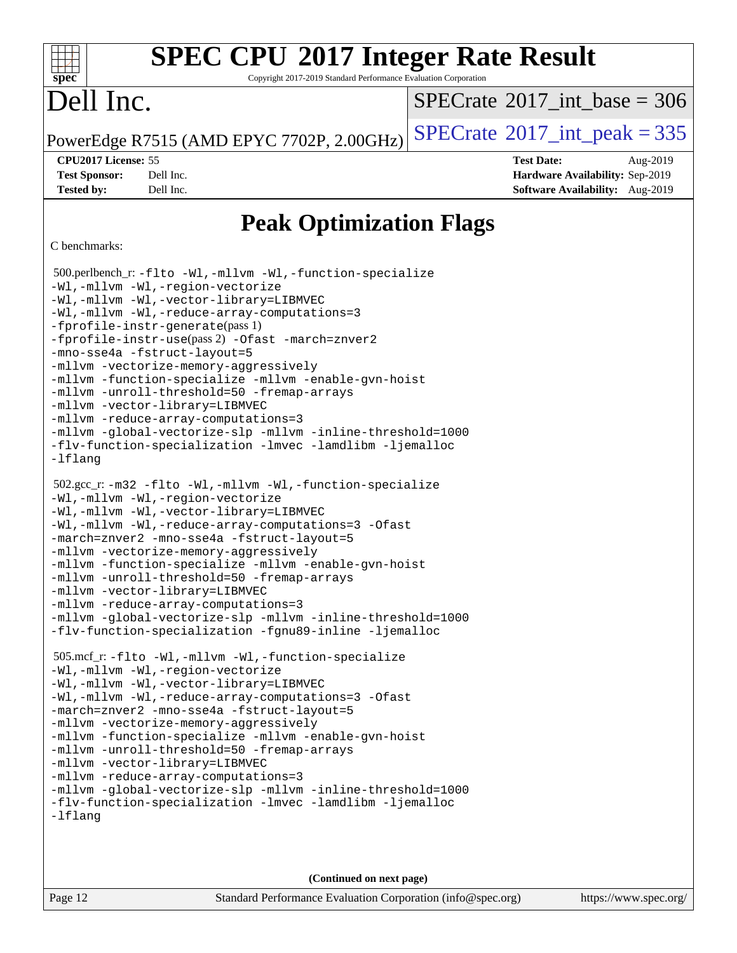Copyright 2017-2019 Standard Performance Evaluation Corporation

# Dell Inc.

**[spec](http://www.spec.org/)**

dd h

 $SPECTate$ <sup>®</sup>[2017\\_int\\_base =](http://www.spec.org/auto/cpu2017/Docs/result-fields.html#SPECrate2017intbase) 306

PowerEdge R7515 (AMD EPYC 7702P, 2.00GHz)  $\text{SPECrate}^{\circ}2017\_int\_peak = 335$  $\text{SPECrate}^{\circ}2017\_int\_peak = 335$  $\text{SPECrate}^{\circ}2017\_int\_peak = 335$ 

**[Tested by:](http://www.spec.org/auto/cpu2017/Docs/result-fields.html#Testedby)** Dell Inc. **[Software Availability:](http://www.spec.org/auto/cpu2017/Docs/result-fields.html#SoftwareAvailability)** Aug-2019

**[CPU2017 License:](http://www.spec.org/auto/cpu2017/Docs/result-fields.html#CPU2017License)** 55 **[Test Date:](http://www.spec.org/auto/cpu2017/Docs/result-fields.html#TestDate)** Aug-2019 **[Test Sponsor:](http://www.spec.org/auto/cpu2017/Docs/result-fields.html#TestSponsor)** Dell Inc. **[Hardware Availability:](http://www.spec.org/auto/cpu2017/Docs/result-fields.html#HardwareAvailability)** Sep-2019

## **[Peak Optimization Flags](http://www.spec.org/auto/cpu2017/Docs/result-fields.html#PeakOptimizationFlags)**

#### [C benchmarks](http://www.spec.org/auto/cpu2017/Docs/result-fields.html#Cbenchmarks):

```
 500.perlbench_r: -flto -Wl,-mllvm -Wl,-function-specialize
-Wl,-mllvm -Wl,-region-vectorize
-Wl,-mllvm -Wl,-vector-library=LIBMVEC
-Wl,-mllvm -Wl,-reduce-array-computations=3
-fprofile-instr-generate(pass 1)
-fprofile-instr-use(pass 2) -Ofast -march=znver2
-mno-sse4a -fstruct-layout=5
-mllvm -vectorize-memory-aggressively
-mllvm -function-specialize -mllvm -enable-gvn-hoist
-mllvm -unroll-threshold=50 -fremap-arrays
-mllvm -vector-library=LIBMVEC
-mllvm -reduce-array-computations=3
-mllvm -global-vectorize-slp -mllvm -inline-threshold=1000
-flv-function-specialization -lmvec -lamdlibm -ljemalloc
-lflang
 502.gcc_r: -m32 -flto -Wl,-mllvm -Wl,-function-specialize
-Wl,-mllvm -Wl,-region-vectorize
-Wl,-mllvm -Wl,-vector-library=LIBMVEC
-Wl,-mllvm -Wl,-reduce-array-computations=3 -Ofast
-march=znver2 -mno-sse4a -fstruct-layout=5
-mllvm -vectorize-memory-aggressively
-mllvm -function-specialize -mllvm -enable-gvn-hoist
-mllvm -unroll-threshold=50 -fremap-arrays
-mllvm -vector-library=LIBMVEC
-mllvm -reduce-array-computations=3
-mllvm -global-vectorize-slp -mllvm -inline-threshold=1000
-flv-function-specialization -fgnu89-inline -ljemalloc
 505.mcf_r: -flto -Wl,-mllvm -Wl,-function-specialize
-Wl,-mllvm -Wl,-region-vectorize
-Wl,-mllvm -Wl,-vector-library=LIBMVEC
-Wl,-mllvm -Wl,-reduce-array-computations=3 -Ofast
-march=znver2 -mno-sse4a -fstruct-layout=5
-mllvm -vectorize-memory-aggressively
-mllvm -function-specialize -mllvm -enable-gvn-hoist
-mllvm -unroll-threshold=50 -fremap-arrays
-mllvm -vector-library=LIBMVEC
-mllvm -reduce-array-computations=3
-mllvm -global-vectorize-slp -mllvm -inline-threshold=1000
-flv-function-specialization -lmvec -lamdlibm -ljemalloc
-lflang
```
**(Continued on next page)**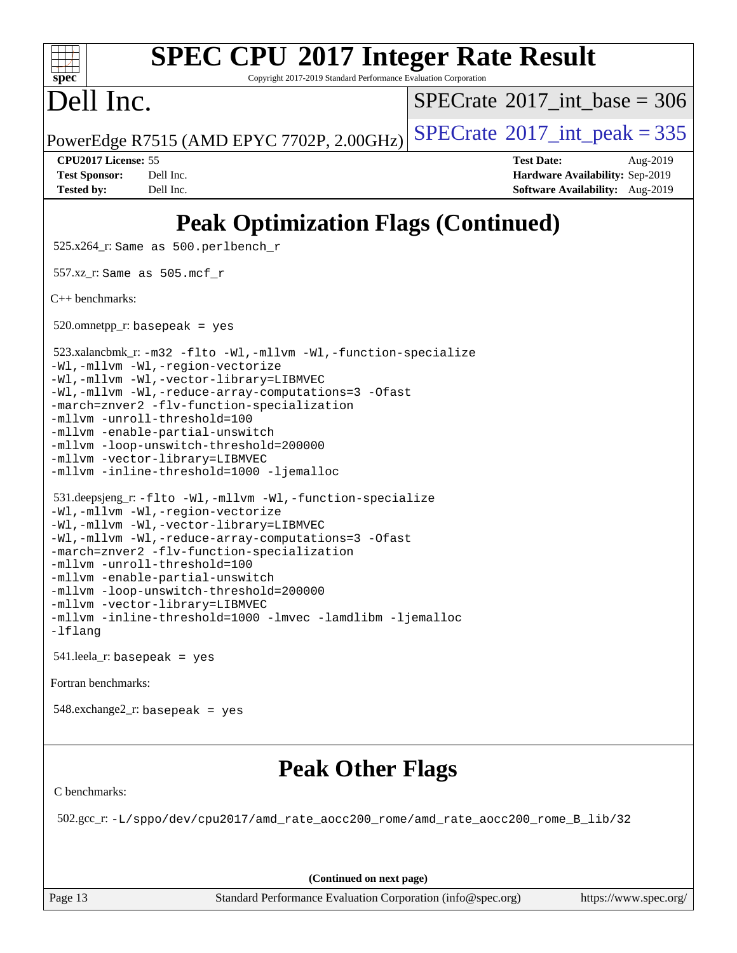#### **[SPEC CPU](http://www.spec.org/auto/cpu2017/Docs/result-fields.html#SPECCPU2017IntegerRateResult)[2017 Integer Rate Result](http://www.spec.org/auto/cpu2017/Docs/result-fields.html#SPECCPU2017IntegerRateResult)**  $+\ +$ **[spec](http://www.spec.org/)** Copyright 2017-2019 Standard Performance Evaluation Corporation Dell Inc.  $SPECTate$ <sup>®</sup>[2017\\_int\\_base =](http://www.spec.org/auto/cpu2017/Docs/result-fields.html#SPECrate2017intbase) 306 PowerEdge R7515 (AMD EPYC 7702P, 2.00GHz)  $\left|$  [SPECrate](http://www.spec.org/auto/cpu2017/Docs/result-fields.html#SPECrate2017intpeak)®[2017\\_int\\_peak = 3](http://www.spec.org/auto/cpu2017/Docs/result-fields.html#SPECrate2017intpeak)35 **[CPU2017 License:](http://www.spec.org/auto/cpu2017/Docs/result-fields.html#CPU2017License)** 55 **[Test Date:](http://www.spec.org/auto/cpu2017/Docs/result-fields.html#TestDate)** Aug-2019 **[Test Sponsor:](http://www.spec.org/auto/cpu2017/Docs/result-fields.html#TestSponsor)** Dell Inc. **[Hardware Availability:](http://www.spec.org/auto/cpu2017/Docs/result-fields.html#HardwareAvailability)** Sep-2019 **[Tested by:](http://www.spec.org/auto/cpu2017/Docs/result-fields.html#Testedby)** Dell Inc. **[Software Availability:](http://www.spec.org/auto/cpu2017/Docs/result-fields.html#SoftwareAvailability)** Aug-2019 **[Peak Optimization Flags \(Continued\)](http://www.spec.org/auto/cpu2017/Docs/result-fields.html#PeakOptimizationFlags)** 525.x264\_r: Same as 500.perlbench\_r 557.xz\_r: Same as 505.mcf\_r [C++ benchmarks:](http://www.spec.org/auto/cpu2017/Docs/result-fields.html#CXXbenchmarks)  $520.$ omnetpp\_r: basepeak = yes 523.xalancbmk\_r: [-m32](http://www.spec.org/cpu2017/results/res2019q4/cpu2017-20191014-19037.flags.html#user_peakCXXLD523_xalancbmk_r_F-m32) [-flto](http://www.spec.org/cpu2017/results/res2019q4/cpu2017-20191014-19037.flags.html#user_peakCXXOPTIMIZELDFLAGS523_xalancbmk_r_aocc-flto) [-Wl,-mllvm -Wl,-function-specialize](http://www.spec.org/cpu2017/results/res2019q4/cpu2017-20191014-19037.flags.html#user_peakLDFLAGS523_xalancbmk_r_F-function-specialize_7e7e661e57922243ee67c9a1251cb8910e607325179a0ce7f2884e09a6f5d4a5ef0ae4f37e8a2a11c95fc48e931f06dc2b6016f14b511fcb441e048bef1b065a) [-Wl,-mllvm -Wl,-region-vectorize](http://www.spec.org/cpu2017/results/res2019q4/cpu2017-20191014-19037.flags.html#user_peakLDFLAGS523_xalancbmk_r_F-region-vectorize_fb6c6b5aa293c88efc6c7c2b52b20755e943585b1fe8658c35afef78727fff56e1a56891413c30e36b8e2a6f9a71126986319243e80eb6110b78b288f533c52b) [-Wl,-mllvm -Wl,-vector-library=LIBMVEC](http://www.spec.org/cpu2017/results/res2019q4/cpu2017-20191014-19037.flags.html#user_peakLDFLAGS523_xalancbmk_r_F-use-vector-library_0a14b27fae317f283640384a31f7bfcc2bd4c1d0b5cfc618a3a430800c9b20217b00f61303eff223a3251b4f06ffbc9739dc5296db9d1fbb9ad24a3939d86d66) [-Wl,-mllvm -Wl,-reduce-array-computations=3](http://www.spec.org/cpu2017/results/res2019q4/cpu2017-20191014-19037.flags.html#user_peakLDFLAGS523_xalancbmk_r_F-reduce-array-computations_b882aefe7a5dda4e33149f6299762b9a720dace3e498e13756f4c04e5a19edf5315c1f3993de2e61ec41e8c206231f84e05da7040e1bb5d69ba27d10a12507e4) [-Ofast](http://www.spec.org/cpu2017/results/res2019q4/cpu2017-20191014-19037.flags.html#user_peakCXXOPTIMIZE523_xalancbmk_r_aocc-Ofast) [-march=znver2](http://www.spec.org/cpu2017/results/res2019q4/cpu2017-20191014-19037.flags.html#user_peakCXXOPTIMIZE523_xalancbmk_r_aocc-march_3e2e19cff2eeef60c5d90b059483627c9ea47eca6d66670dbd53f9185f6439e27eb5e104cf773e9e8ab18c8842ce63e461a3e948d0214bd567ef3ade411bf467) [-flv-function-specialization](http://www.spec.org/cpu2017/results/res2019q4/cpu2017-20191014-19037.flags.html#user_peakCXXOPTIMIZE523_xalancbmk_r_F-flv-function-specialization) [-mllvm -unroll-threshold=100](http://www.spec.org/cpu2017/results/res2019q4/cpu2017-20191014-19037.flags.html#user_peakCXXOPTIMIZE523_xalancbmk_r_F-unroll-threshold_2755d0c78138845d361fa1543e3a063fffa198df9b3edf0cfb856bbc88a81e1769b12ac7a550c5d35197be55360db1a3f95a8d1304df999456cabf5120c45168) [-mllvm -enable-partial-unswitch](http://www.spec.org/cpu2017/results/res2019q4/cpu2017-20191014-19037.flags.html#user_peakCXXOPTIMIZE523_xalancbmk_r_F-enable-partial-unswitch_6e1c33f981d77963b1eaf834973128a7f33ce3f8e27f54689656697a35e89dcc875281e0e6283d043e32f367dcb605ba0e307a92e830f7e326789fa6c61b35d3) [-mllvm -loop-unswitch-threshold=200000](http://www.spec.org/cpu2017/results/res2019q4/cpu2017-20191014-19037.flags.html#user_peakCXXOPTIMIZE523_xalancbmk_r_F-loop-unswitch-threshold_f9a82ae3270e55b5fbf79d0d96ee93606b73edbbe527d20b18b7bff1a3a146ad50cfc7454c5297978340ae9213029016a7d16221274d672d3f7f42ed25274e1d) [-mllvm -vector-library=LIBMVEC](http://www.spec.org/cpu2017/results/res2019q4/cpu2017-20191014-19037.flags.html#user_peakCXXOPTIMIZE523_xalancbmk_r_F-use-vector-library_e584e20b4f7ec96aa109254b65d8e01d864f3d68580371b9d93ed7c338191d4cfce20c3c864632264effc6bbe4c7c38153d02096a342ee92501c4a53204a7871) [-mllvm -inline-threshold=1000](http://www.spec.org/cpu2017/results/res2019q4/cpu2017-20191014-19037.flags.html#user_peakCXXOPTIMIZE523_xalancbmk_r_dragonegg-llvm-inline-threshold_b7832241b0a6397e4ecdbaf0eb7defdc10f885c2a282fa3240fdc99844d543fda39cf8a4a9dccf68cf19b5438ac3b455264f478df15da0f4988afa40d8243bab) [-ljemalloc](http://www.spec.org/cpu2017/results/res2019q4/cpu2017-20191014-19037.flags.html#user_peakEXTRA_LIBS523_xalancbmk_r_jemalloc-lib) 531.deepsjeng\_r: [-flto](http://www.spec.org/cpu2017/results/res2019q4/cpu2017-20191014-19037.flags.html#user_peakCXXOPTIMIZELDFLAGS531_deepsjeng_r_aocc-flto) [-Wl,-mllvm -Wl,-function-specialize](http://www.spec.org/cpu2017/results/res2019q4/cpu2017-20191014-19037.flags.html#user_peakLDFLAGS531_deepsjeng_r_F-function-specialize_7e7e661e57922243ee67c9a1251cb8910e607325179a0ce7f2884e09a6f5d4a5ef0ae4f37e8a2a11c95fc48e931f06dc2b6016f14b511fcb441e048bef1b065a) [-Wl,-mllvm -Wl,-region-vectorize](http://www.spec.org/cpu2017/results/res2019q4/cpu2017-20191014-19037.flags.html#user_peakLDFLAGS531_deepsjeng_r_F-region-vectorize_fb6c6b5aa293c88efc6c7c2b52b20755e943585b1fe8658c35afef78727fff56e1a56891413c30e36b8e2a6f9a71126986319243e80eb6110b78b288f533c52b) [-Wl,-mllvm -Wl,-vector-library=LIBMVEC](http://www.spec.org/cpu2017/results/res2019q4/cpu2017-20191014-19037.flags.html#user_peakLDFLAGS531_deepsjeng_r_F-use-vector-library_0a14b27fae317f283640384a31f7bfcc2bd4c1d0b5cfc618a3a430800c9b20217b00f61303eff223a3251b4f06ffbc9739dc5296db9d1fbb9ad24a3939d86d66) [-Wl,-mllvm -Wl,-reduce-array-computations=3](http://www.spec.org/cpu2017/results/res2019q4/cpu2017-20191014-19037.flags.html#user_peakLDFLAGS531_deepsjeng_r_F-reduce-array-computations_b882aefe7a5dda4e33149f6299762b9a720dace3e498e13756f4c04e5a19edf5315c1f3993de2e61ec41e8c206231f84e05da7040e1bb5d69ba27d10a12507e4) [-Ofast](http://www.spec.org/cpu2017/results/res2019q4/cpu2017-20191014-19037.flags.html#user_peakCXXOPTIMIZE531_deepsjeng_r_aocc-Ofast) [-march=znver2](http://www.spec.org/cpu2017/results/res2019q4/cpu2017-20191014-19037.flags.html#user_peakCXXOPTIMIZE531_deepsjeng_r_aocc-march_3e2e19cff2eeef60c5d90b059483627c9ea47eca6d66670dbd53f9185f6439e27eb5e104cf773e9e8ab18c8842ce63e461a3e948d0214bd567ef3ade411bf467) [-flv-function-specialization](http://www.spec.org/cpu2017/results/res2019q4/cpu2017-20191014-19037.flags.html#user_peakCXXOPTIMIZE531_deepsjeng_r_F-flv-function-specialization) [-mllvm -unroll-threshold=100](http://www.spec.org/cpu2017/results/res2019q4/cpu2017-20191014-19037.flags.html#user_peakCXXOPTIMIZE531_deepsjeng_r_F-unroll-threshold_2755d0c78138845d361fa1543e3a063fffa198df9b3edf0cfb856bbc88a81e1769b12ac7a550c5d35197be55360db1a3f95a8d1304df999456cabf5120c45168) [-mllvm -enable-partial-unswitch](http://www.spec.org/cpu2017/results/res2019q4/cpu2017-20191014-19037.flags.html#user_peakCXXOPTIMIZE531_deepsjeng_r_F-enable-partial-unswitch_6e1c33f981d77963b1eaf834973128a7f33ce3f8e27f54689656697a35e89dcc875281e0e6283d043e32f367dcb605ba0e307a92e830f7e326789fa6c61b35d3) [-mllvm -loop-unswitch-threshold=200000](http://www.spec.org/cpu2017/results/res2019q4/cpu2017-20191014-19037.flags.html#user_peakCXXOPTIMIZE531_deepsjeng_r_F-loop-unswitch-threshold_f9a82ae3270e55b5fbf79d0d96ee93606b73edbbe527d20b18b7bff1a3a146ad50cfc7454c5297978340ae9213029016a7d16221274d672d3f7f42ed25274e1d) [-mllvm -vector-library=LIBMVEC](http://www.spec.org/cpu2017/results/res2019q4/cpu2017-20191014-19037.flags.html#user_peakCXXOPTIMIZE531_deepsjeng_r_F-use-vector-library_e584e20b4f7ec96aa109254b65d8e01d864f3d68580371b9d93ed7c338191d4cfce20c3c864632264effc6bbe4c7c38153d02096a342ee92501c4a53204a7871) [-mllvm -inline-threshold=1000](http://www.spec.org/cpu2017/results/res2019q4/cpu2017-20191014-19037.flags.html#user_peakCXXOPTIMIZE531_deepsjeng_r_dragonegg-llvm-inline-threshold_b7832241b0a6397e4ecdbaf0eb7defdc10f885c2a282fa3240fdc99844d543fda39cf8a4a9dccf68cf19b5438ac3b455264f478df15da0f4988afa40d8243bab) [-lmvec](http://www.spec.org/cpu2017/results/res2019q4/cpu2017-20191014-19037.flags.html#user_peakEXTRA_LIBS531_deepsjeng_r_F-lmvec) [-lamdlibm](http://www.spec.org/cpu2017/results/res2019q4/cpu2017-20191014-19037.flags.html#user_peakEXTRA_LIBS531_deepsjeng_r_F-lamdlibm) [-ljemalloc](http://www.spec.org/cpu2017/results/res2019q4/cpu2017-20191014-19037.flags.html#user_peakEXTRA_LIBS531_deepsjeng_r_jemalloc-lib) [-lflang](http://www.spec.org/cpu2017/results/res2019q4/cpu2017-20191014-19037.flags.html#user_peakEXTRA_LIBS531_deepsjeng_r_F-lflang) 541.leela\_r: basepeak = yes [Fortran benchmarks](http://www.spec.org/auto/cpu2017/Docs/result-fields.html#Fortranbenchmarks): 548.exchange2\_r: basepeak = yes **[Peak Other Flags](http://www.spec.org/auto/cpu2017/Docs/result-fields.html#PeakOtherFlags)** [C benchmarks](http://www.spec.org/auto/cpu2017/Docs/result-fields.html#Cbenchmarks): 502.gcc\_r: [-L/sppo/dev/cpu2017/amd\\_rate\\_aocc200\\_rome/amd\\_rate\\_aocc200\\_rome\\_B\\_lib/32](http://www.spec.org/cpu2017/results/res2019q4/cpu2017-20191014-19037.flags.html#user_peakEXTRA_LIBS502_gcc_r_Link_path_b5b00bf31c61d6947cc4d630bced3fb89849443ebddda32d892fa949b687351d25501389afe57599b9ceaeea7a84dd539259c16c4264887e55121a7d0c1762af) **(Continued on next page)**

Page 13 Standard Performance Evaluation Corporation [\(info@spec.org\)](mailto:info@spec.org) <https://www.spec.org/>